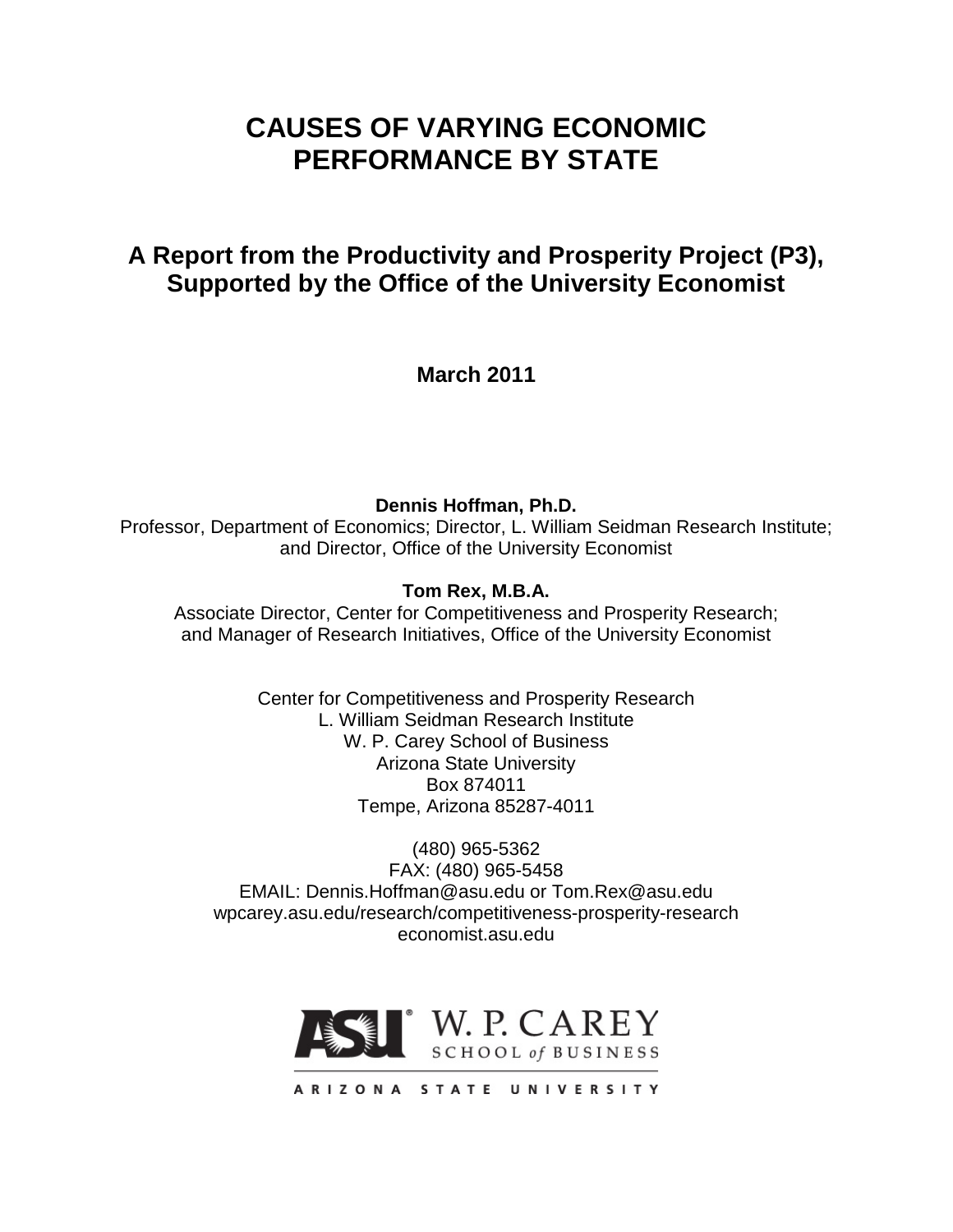# **CAUSES OF VARYING ECONOMIC PERFORMANCE BY STATE**

## **A Report from the Productivity and Prosperity Project (P3), Supported by the Office of the University Economist**

**March 2011**

**Dennis Hoffman, Ph.D.** Professor, Department of Economics; Director, L. William Seidman Research Institute; and Director, Office of the University Economist

## **Tom Rex, M.B.A.**

Associate Director, Center for Competitiveness and Prosperity Research; and Manager of Research Initiatives, Office of the University Economist

> Center for Competitiveness and Prosperity Research L. William Seidman Research Institute W. P. Carey School of Business Arizona State University Box 874011 Tempe, Arizona 85287-4011

(480) 965-5362 FAX: (480) 965-5458 EMAIL: Dennis.Hoffman@asu.edu or Tom.Rex@asu.edu wpcarey.asu.edu/research/competitiveness-prosperity-research economist.asu.edu



ARIZONA STATE UNIVERSITY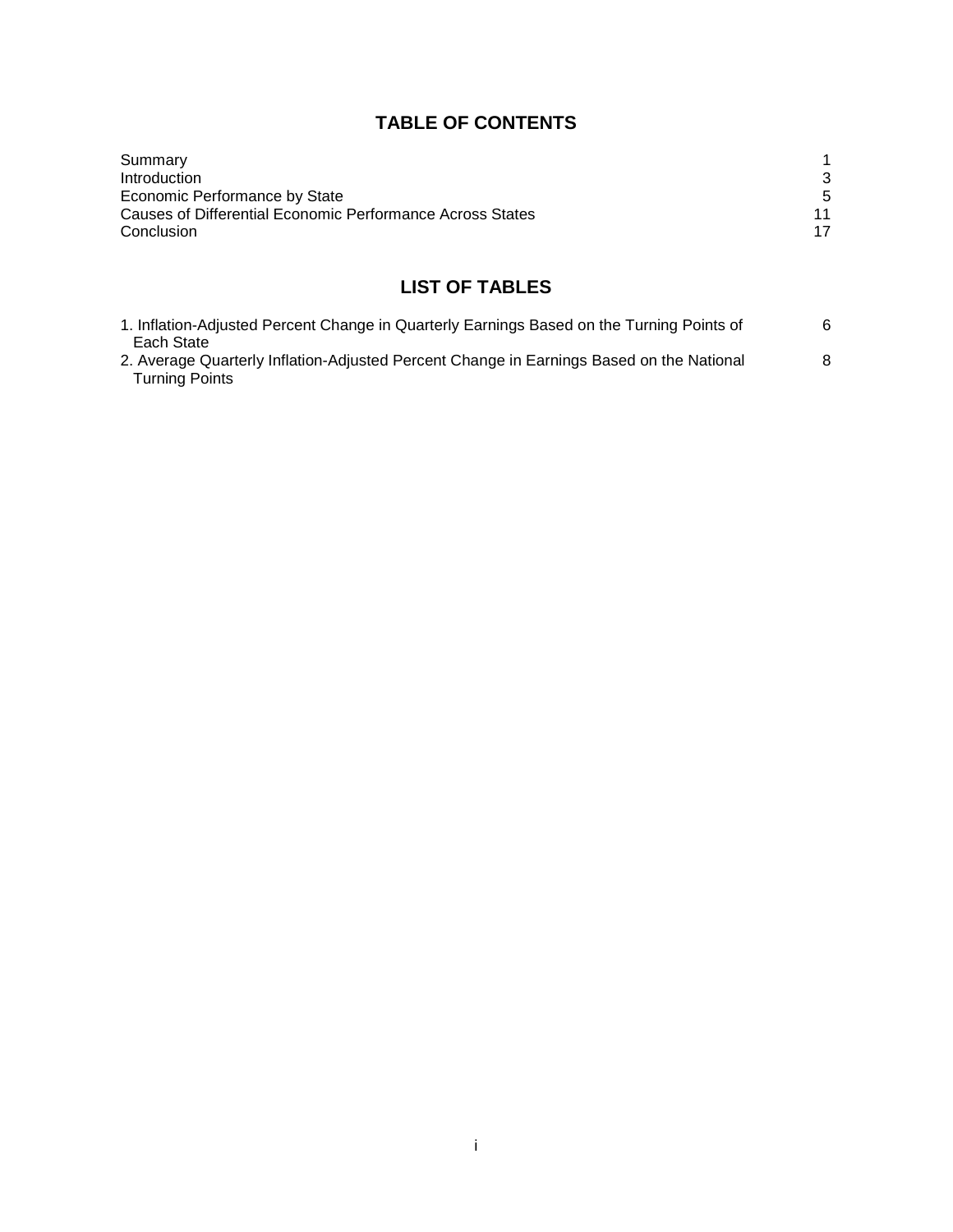## **TABLE OF CONTENTS**

| Summary                                                   |    |
|-----------------------------------------------------------|----|
| Introduction                                              |    |
| Economic Performance by State                             | 5  |
| Causes of Differential Economic Performance Across States | 11 |
| Conclusion                                                | 17 |

## **LIST OF TABLES**

| 1. Inflation-Adjusted Percent Change in Quarterly Earnings Based on the Turning Points of |   |
|-------------------------------------------------------------------------------------------|---|
| Each State                                                                                |   |
| 2. Average Quarterly Inflation-Adjusted Percent Change in Earnings Based on the National  | 8 |
| <b>Turning Points</b>                                                                     |   |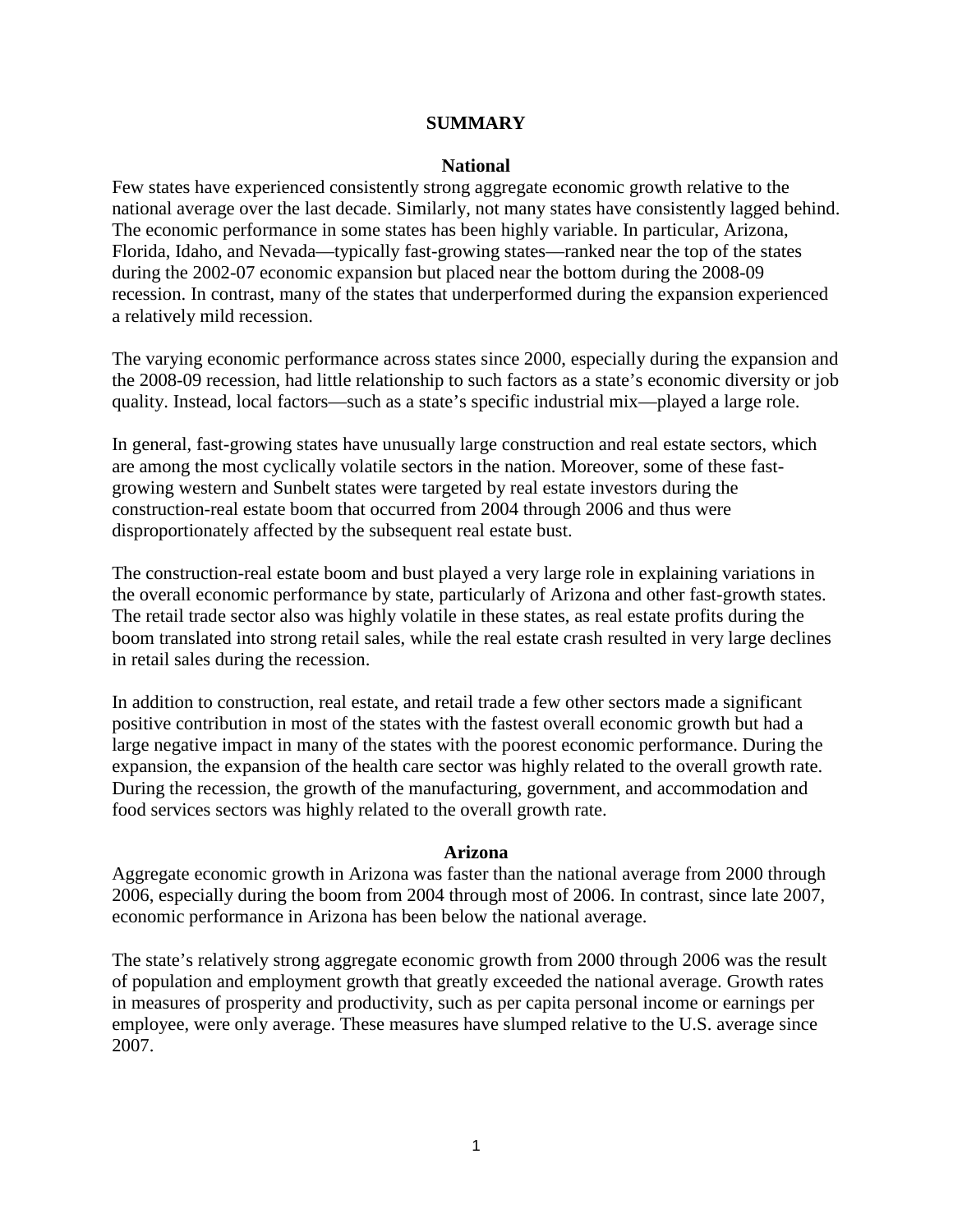#### **SUMMARY**

#### **National**

Few states have experienced consistently strong aggregate economic growth relative to the national average over the last decade. Similarly, not many states have consistently lagged behind. The economic performance in some states has been highly variable. In particular, Arizona, Florida, Idaho, and Nevada—typically fast-growing states—ranked near the top of the states during the 2002-07 economic expansion but placed near the bottom during the 2008-09 recession. In contrast, many of the states that underperformed during the expansion experienced a relatively mild recession.

The varying economic performance across states since 2000, especially during the expansion and the 2008-09 recession, had little relationship to such factors as a state's economic diversity or job quality. Instead, local factors—such as a state's specific industrial mix—played a large role.

In general, fast-growing states have unusually large construction and real estate sectors, which are among the most cyclically volatile sectors in the nation. Moreover, some of these fastgrowing western and Sunbelt states were targeted by real estate investors during the construction-real estate boom that occurred from 2004 through 2006 and thus were disproportionately affected by the subsequent real estate bust.

The construction-real estate boom and bust played a very large role in explaining variations in the overall economic performance by state, particularly of Arizona and other fast-growth states. The retail trade sector also was highly volatile in these states, as real estate profits during the boom translated into strong retail sales, while the real estate crash resulted in very large declines in retail sales during the recession.

In addition to construction, real estate, and retail trade a few other sectors made a significant positive contribution in most of the states with the fastest overall economic growth but had a large negative impact in many of the states with the poorest economic performance. During the expansion, the expansion of the health care sector was highly related to the overall growth rate. During the recession, the growth of the manufacturing, government, and accommodation and food services sectors was highly related to the overall growth rate.

#### **Arizona**

Aggregate economic growth in Arizona was faster than the national average from 2000 through 2006, especially during the boom from 2004 through most of 2006. In contrast, since late 2007, economic performance in Arizona has been below the national average.

The state's relatively strong aggregate economic growth from 2000 through 2006 was the result of population and employment growth that greatly exceeded the national average. Growth rates in measures of prosperity and productivity, such as per capita personal income or earnings per employee, were only average. These measures have slumped relative to the U.S. average since 2007.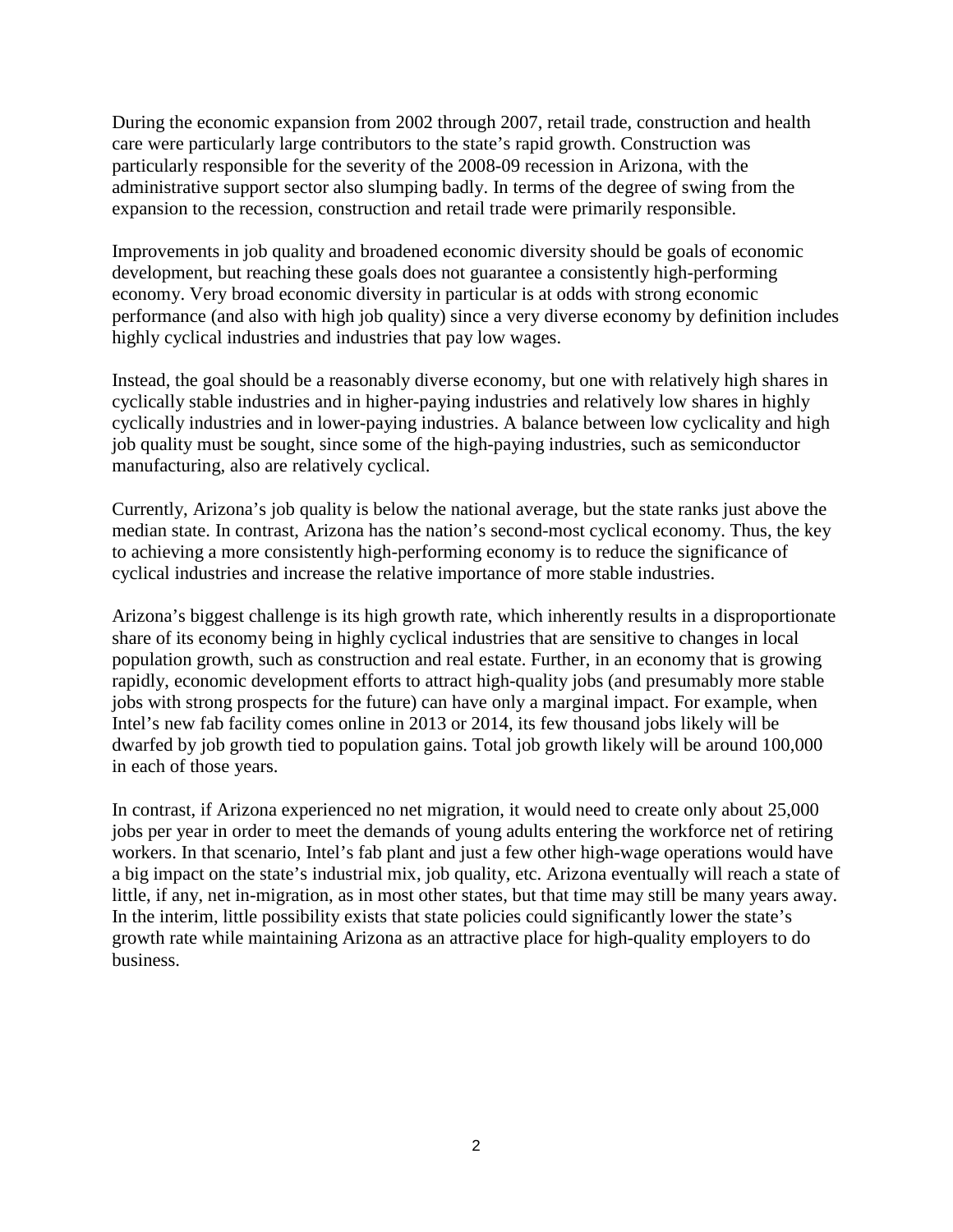During the economic expansion from 2002 through 2007, retail trade, construction and health care were particularly large contributors to the state's rapid growth. Construction was particularly responsible for the severity of the 2008-09 recession in Arizona, with the administrative support sector also slumping badly. In terms of the degree of swing from the expansion to the recession, construction and retail trade were primarily responsible.

Improvements in job quality and broadened economic diversity should be goals of economic development, but reaching these goals does not guarantee a consistently high-performing economy. Very broad economic diversity in particular is at odds with strong economic performance (and also with high job quality) since a very diverse economy by definition includes highly cyclical industries and industries that pay low wages.

Instead, the goal should be a reasonably diverse economy, but one with relatively high shares in cyclically stable industries and in higher-paying industries and relatively low shares in highly cyclically industries and in lower-paying industries. A balance between low cyclicality and high job quality must be sought, since some of the high-paying industries, such as semiconductor manufacturing, also are relatively cyclical.

Currently, Arizona's job quality is below the national average, but the state ranks just above the median state. In contrast, Arizona has the nation's second-most cyclical economy. Thus, the key to achieving a more consistently high-performing economy is to reduce the significance of cyclical industries and increase the relative importance of more stable industries.

Arizona's biggest challenge is its high growth rate, which inherently results in a disproportionate share of its economy being in highly cyclical industries that are sensitive to changes in local population growth, such as construction and real estate. Further, in an economy that is growing rapidly, economic development efforts to attract high-quality jobs (and presumably more stable jobs with strong prospects for the future) can have only a marginal impact. For example, when Intel's new fab facility comes online in 2013 or 2014, its few thousand jobs likely will be dwarfed by job growth tied to population gains. Total job growth likely will be around 100,000 in each of those years.

In contrast, if Arizona experienced no net migration, it would need to create only about 25,000 jobs per year in order to meet the demands of young adults entering the workforce net of retiring workers. In that scenario, Intel's fab plant and just a few other high-wage operations would have a big impact on the state's industrial mix, job quality, etc. Arizona eventually will reach a state of little, if any, net in-migration, as in most other states, but that time may still be many years away. In the interim, little possibility exists that state policies could significantly lower the state's growth rate while maintaining Arizona as an attractive place for high-quality employers to do business.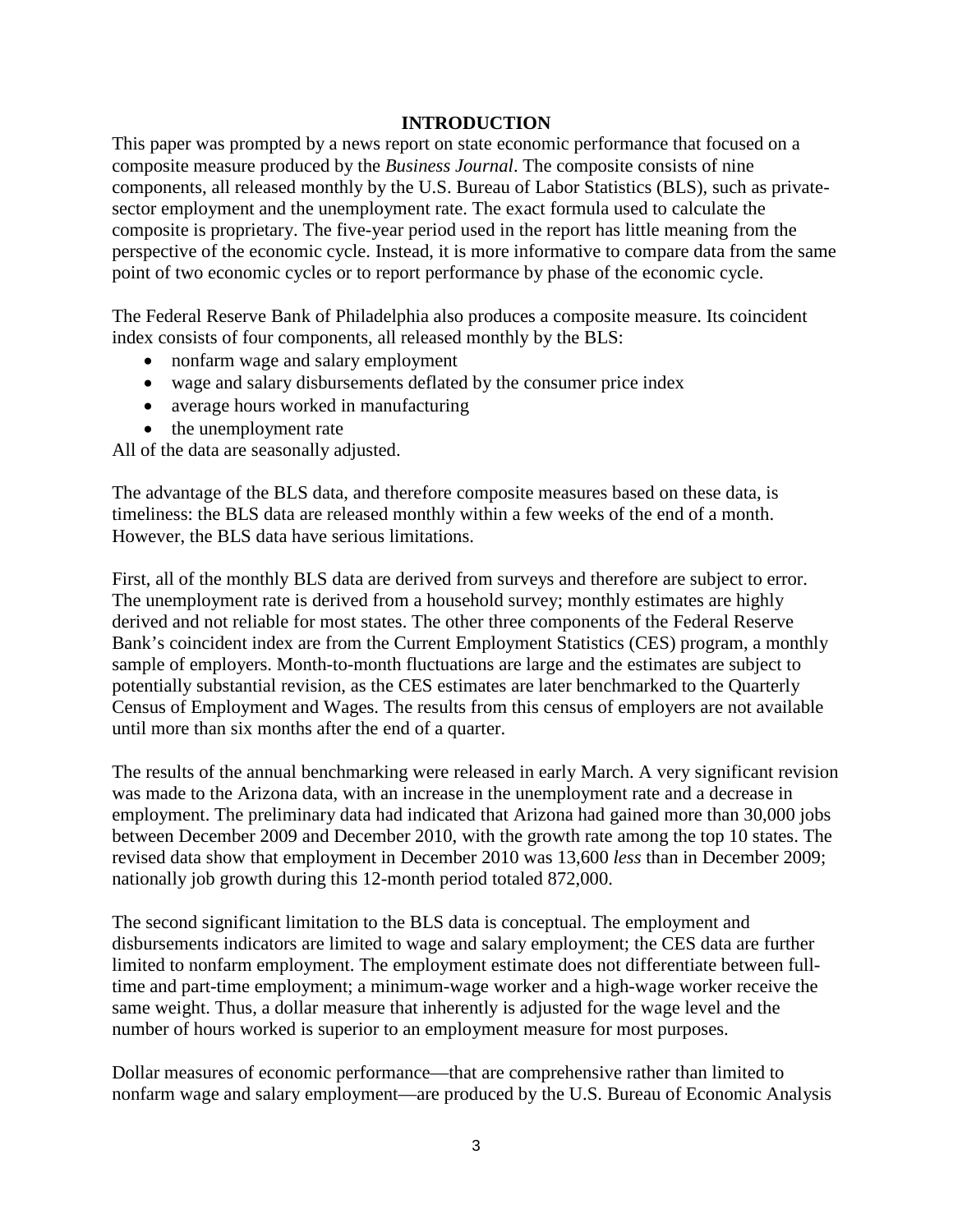## **INTRODUCTION**

This paper was prompted by a news report on state economic performance that focused on a composite measure produced by the *Business Journal*. The composite consists of nine components, all released monthly by the U.S. Bureau of Labor Statistics (BLS), such as privatesector employment and the unemployment rate. The exact formula used to calculate the composite is proprietary. The five-year period used in the report has little meaning from the perspective of the economic cycle. Instead, it is more informative to compare data from the same point of two economic cycles or to report performance by phase of the economic cycle.

The Federal Reserve Bank of Philadelphia also produces a composite measure. Its coincident index consists of four components, all released monthly by the BLS:

- nonfarm wage and salary employment
- wage and salary disbursements deflated by the consumer price index
- average hours worked in manufacturing
- the unemployment rate

All of the data are seasonally adjusted.

The advantage of the BLS data, and therefore composite measures based on these data, is timeliness: the BLS data are released monthly within a few weeks of the end of a month. However, the BLS data have serious limitations.

First, all of the monthly BLS data are derived from surveys and therefore are subject to error. The unemployment rate is derived from a household survey; monthly estimates are highly derived and not reliable for most states. The other three components of the Federal Reserve Bank's coincident index are from the Current Employment Statistics (CES) program, a monthly sample of employers. Month-to-month fluctuations are large and the estimates are subject to potentially substantial revision, as the CES estimates are later benchmarked to the Quarterly Census of Employment and Wages. The results from this census of employers are not available until more than six months after the end of a quarter.

The results of the annual benchmarking were released in early March. A very significant revision was made to the Arizona data, with an increase in the unemployment rate and a decrease in employment. The preliminary data had indicated that Arizona had gained more than 30,000 jobs between December 2009 and December 2010, with the growth rate among the top 10 states. The revised data show that employment in December 2010 was 13,600 *less* than in December 2009; nationally job growth during this 12-month period totaled 872,000.

The second significant limitation to the BLS data is conceptual. The employment and disbursements indicators are limited to wage and salary employment; the CES data are further limited to nonfarm employment. The employment estimate does not differentiate between fulltime and part-time employment; a minimum-wage worker and a high-wage worker receive the same weight. Thus, a dollar measure that inherently is adjusted for the wage level and the number of hours worked is superior to an employment measure for most purposes.

Dollar measures of economic performance—that are comprehensive rather than limited to nonfarm wage and salary employment—are produced by the U.S. Bureau of Economic Analysis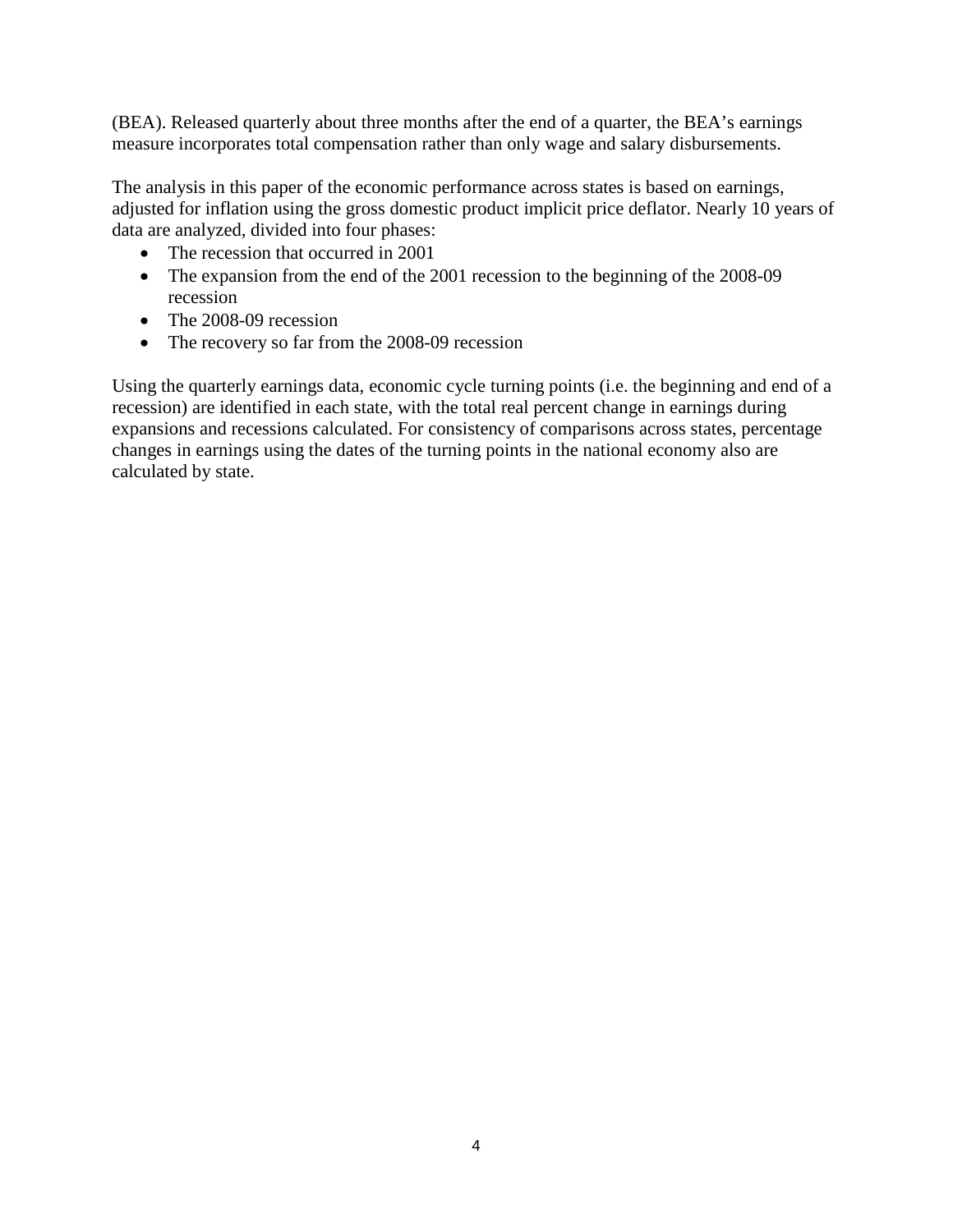(BEA). Released quarterly about three months after the end of a quarter, the BEA's earnings measure incorporates total compensation rather than only wage and salary disbursements.

The analysis in this paper of the economic performance across states is based on earnings, adjusted for inflation using the gross domestic product implicit price deflator. Nearly 10 years of data are analyzed, divided into four phases:

- The recession that occurred in 2001
- The expansion from the end of the 2001 recession to the beginning of the 2008-09 recession
- The 2008-09 recession
- The recovery so far from the 2008-09 recession

Using the quarterly earnings data, economic cycle turning points (i.e. the beginning and end of a recession) are identified in each state, with the total real percent change in earnings during expansions and recessions calculated. For consistency of comparisons across states, percentage changes in earnings using the dates of the turning points in the national economy also are calculated by state.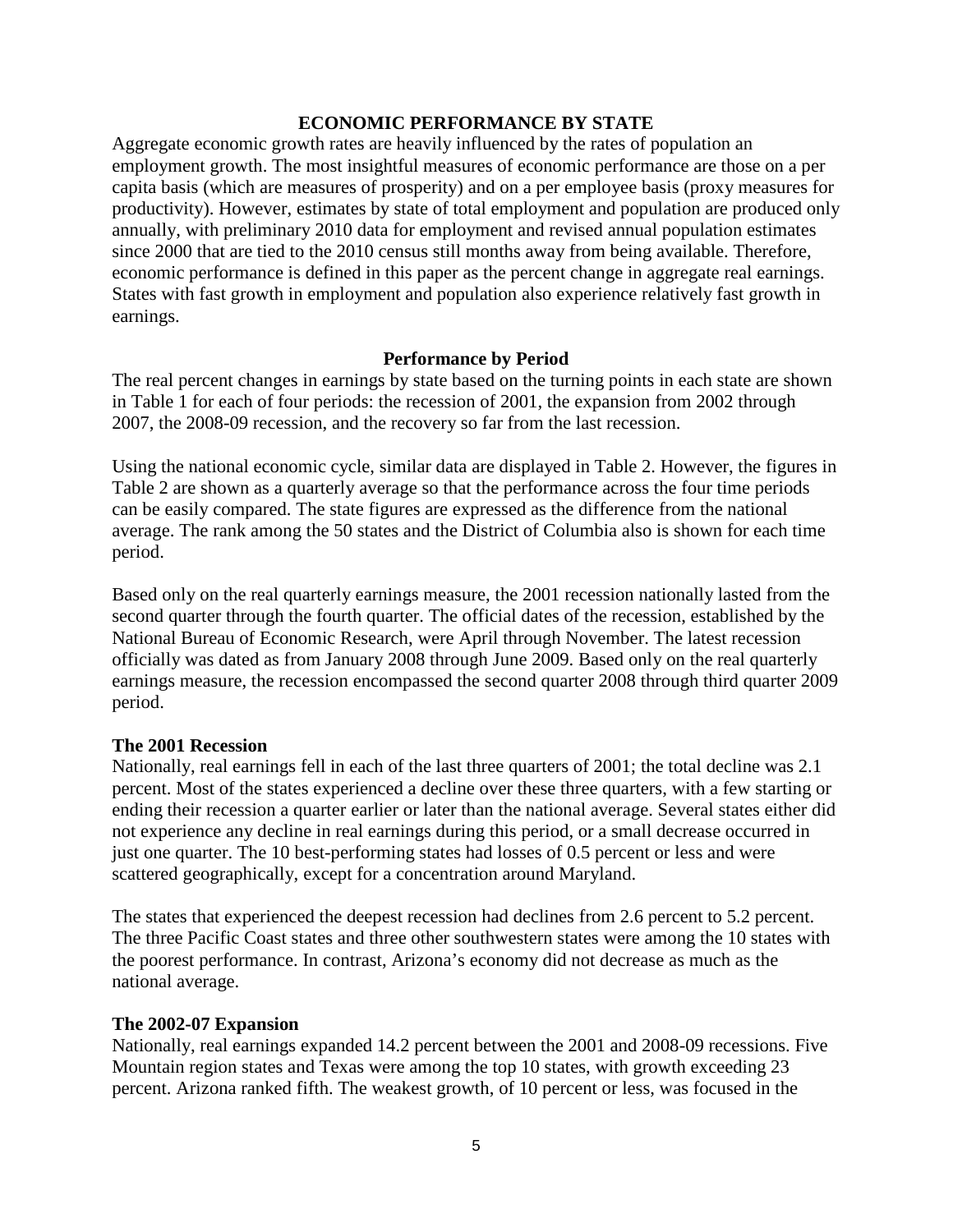#### **ECONOMIC PERFORMANCE BY STATE**

Aggregate economic growth rates are heavily influenced by the rates of population an employment growth. The most insightful measures of economic performance are those on a per capita basis (which are measures of prosperity) and on a per employee basis (proxy measures for productivity). However, estimates by state of total employment and population are produced only annually, with preliminary 2010 data for employment and revised annual population estimates since 2000 that are tied to the 2010 census still months away from being available. Therefore, economic performance is defined in this paper as the percent change in aggregate real earnings. States with fast growth in employment and population also experience relatively fast growth in earnings.

## **Performance by Period**

The real percent changes in earnings by state based on the turning points in each state are shown in Table 1 for each of four periods: the recession of 2001, the expansion from 2002 through 2007, the 2008-09 recession, and the recovery so far from the last recession.

Using the national economic cycle, similar data are displayed in Table 2. However, the figures in Table 2 are shown as a quarterly average so that the performance across the four time periods can be easily compared. The state figures are expressed as the difference from the national average. The rank among the 50 states and the District of Columbia also is shown for each time period.

Based only on the real quarterly earnings measure, the 2001 recession nationally lasted from the second quarter through the fourth quarter. The official dates of the recession, established by the National Bureau of Economic Research, were April through November. The latest recession officially was dated as from January 2008 through June 2009. Based only on the real quarterly earnings measure, the recession encompassed the second quarter 2008 through third quarter 2009 period.

## **The 2001 Recession**

Nationally, real earnings fell in each of the last three quarters of 2001; the total decline was 2.1 percent. Most of the states experienced a decline over these three quarters, with a few starting or ending their recession a quarter earlier or later than the national average. Several states either did not experience any decline in real earnings during this period, or a small decrease occurred in just one quarter. The 10 best-performing states had losses of 0.5 percent or less and were scattered geographically, except for a concentration around Maryland.

The states that experienced the deepest recession had declines from 2.6 percent to 5.2 percent. The three Pacific Coast states and three other southwestern states were among the 10 states with the poorest performance. In contrast, Arizona's economy did not decrease as much as the national average.

#### **The 2002-07 Expansion**

Nationally, real earnings expanded 14.2 percent between the 2001 and 2008-09 recessions. Five Mountain region states and Texas were among the top 10 states, with growth exceeding 23 percent. Arizona ranked fifth. The weakest growth, of 10 percent or less, was focused in the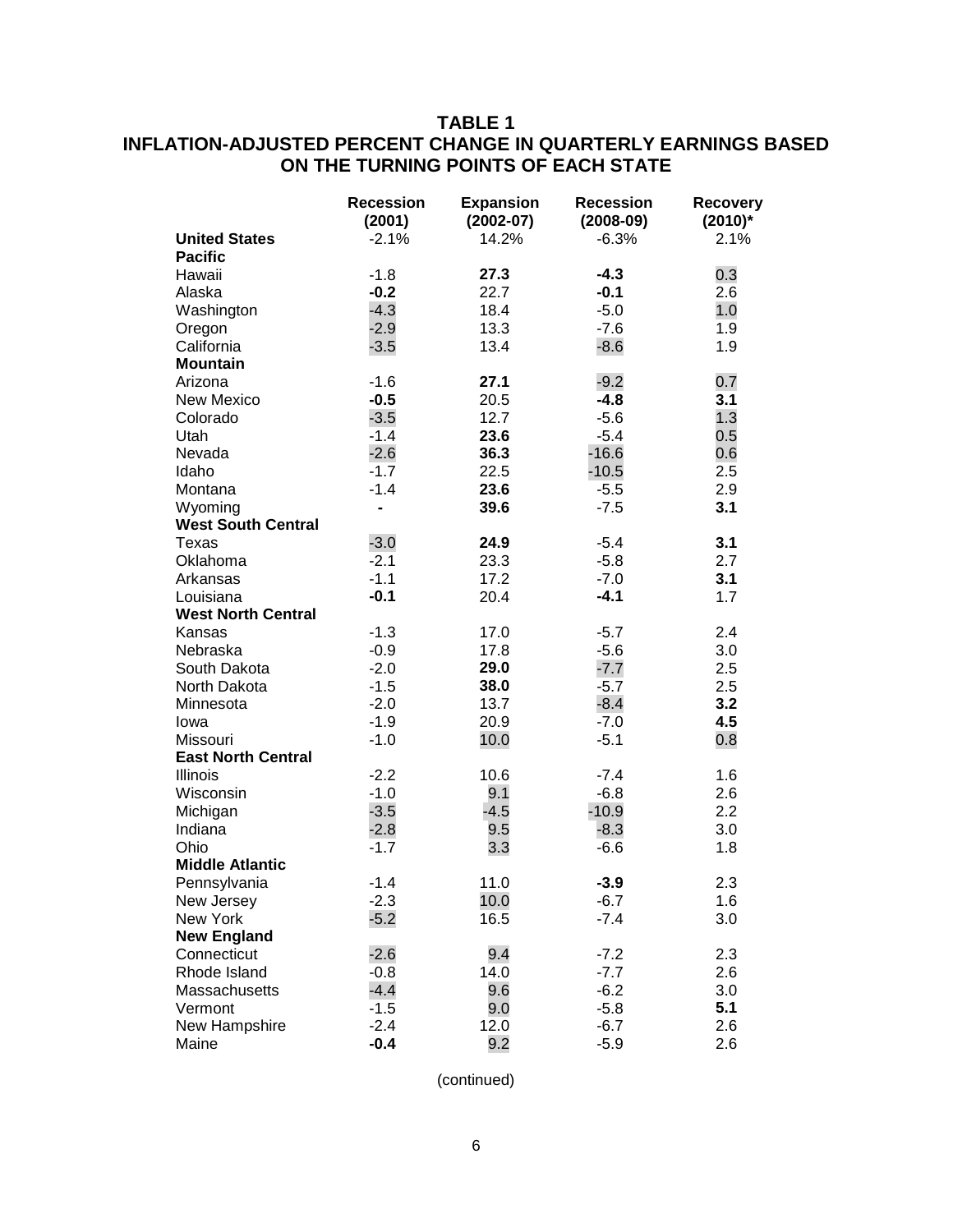## **TABLE 1 INFLATION-ADJUSTED PERCENT CHANGE IN QUARTERLY EARNINGS BASED ON THE TURNING POINTS OF EACH STATE**

|                                        | <b>Recession</b><br>(2001) | <b>Expansion</b><br>$(2002-07)$ | <b>Recession</b><br>$(2008-09)$ | <b>Recovery</b><br>$(2010)^*$ |
|----------------------------------------|----------------------------|---------------------------------|---------------------------------|-------------------------------|
| <b>United States</b><br><b>Pacific</b> | $-2.1%$                    | 14.2%                           | $-6.3%$                         | 2.1%                          |
| Hawaii                                 | $-1.8$                     | 27.3                            | $-4.3$                          | 0.3                           |
| Alaska                                 | $-0.2$                     | 22.7                            | $-0.1$                          | 2.6                           |
| Washington                             | $-4.3$                     | 18.4                            | $-5.0$                          | 1.0                           |
| Oregon                                 | $-2.9$                     | 13.3                            | $-7.6$                          | 1.9                           |
| California                             | $-3.5$                     | 13.4                            | $-8.6$                          | 1.9                           |
| <b>Mountain</b>                        |                            |                                 |                                 |                               |
| Arizona                                | $-1.6$                     | 27.1                            | $-9.2$                          | 0.7                           |
| <b>New Mexico</b>                      | $-0.5$                     | 20.5                            | $-4.8$                          | 3.1                           |
| Colorado                               | $-3.5$                     | 12.7                            | $-5.6$                          | 1.3                           |
| Utah                                   | $-1.4$                     | 23.6                            | $-5.4$                          | 0.5                           |
| Nevada                                 | $-2.6$                     | 36.3                            | $-16.6$                         | 0.6                           |
| Idaho                                  | $-1.7$                     | 22.5                            | $-10.5$                         | 2.5                           |
| Montana                                | $-1.4$                     | 23.6                            | $-5.5$                          | 2.9                           |
| Wyoming                                | L,                         | 39.6                            | $-7.5$                          | 3.1                           |
| <b>West South Central</b>              |                            |                                 |                                 |                               |
| Texas                                  | $-3.0$                     | 24.9                            | $-5.4$                          | 3.1                           |
| Oklahoma                               | $-2.1$                     | 23.3                            | $-5.8$                          | 2.7                           |
| Arkansas                               | $-1.1$                     | 17.2                            | $-7.0$                          | 3.1                           |
| Louisiana                              | $-0.1$                     | 20.4                            | $-4.1$                          | 1.7                           |
| <b>West North Central</b>              |                            |                                 |                                 |                               |
| Kansas                                 | $-1.3$                     | 17.0                            | $-5.7$                          | 2.4                           |
| Nebraska                               | $-0.9$                     | 17.8                            | $-5.6$                          | 3.0                           |
| South Dakota                           | $-2.0$                     | 29.0                            | $-7.7$                          | 2.5                           |
| North Dakota                           | $-1.5$                     | 38.0                            | $-5.7$                          | 2.5                           |
| Minnesota                              | $-2.0$                     | 13.7                            | $-8.4$                          | 3.2                           |
| lowa                                   | $-1.9$                     | 20.9                            | $-7.0$                          | 4.5                           |
| Missouri                               | $-1.0$                     | 10.0                            | $-5.1$                          | 0.8                           |
| <b>East North Central</b>              |                            |                                 |                                 |                               |
| <b>Illinois</b>                        | $-2.2$                     | 10.6                            | $-7.4$                          | 1.6                           |
| Wisconsin                              | $-1.0$                     | 9.1                             | $-6.8$                          | 2.6                           |
| Michigan                               | $-3.5$                     | $-4.5$                          | $-10.9$                         | 2.2                           |
| Indiana                                | $-2.8$                     | 9.5                             | $-8.3$                          | 3.0                           |
| Ohio                                   | $-1.7$                     | 3.3                             | $-6.6$                          | 1.8                           |
| <b>Middle Atlantic</b>                 |                            |                                 |                                 |                               |
| Pennsylvania                           | $-1.4$                     | 11.0                            | $-3.9$                          | 2.3                           |
| New Jersey                             | $-2.3$                     | 10.0                            | $-6.7$                          | 1.6                           |
| New York                               | $-5.2$                     | 16.5                            | $-7.4$                          | 3.0                           |
| <b>New England</b>                     |                            |                                 |                                 |                               |
| Connecticut                            | $-2.6$                     | 9.4                             | $-7.2$                          | 2.3                           |
| Rhode Island                           | $-0.8$                     | 14.0                            | $-7.7$                          | 2.6                           |
| Massachusetts                          | $-4.4$                     | 9.6                             | $-6.2$                          | 3.0                           |
| Vermont                                | $-1.5$                     | 9.0                             | $-5.8$                          | 5.1                           |
| New Hampshire                          | $-2.4$                     | 12.0                            | $-6.7$                          | 2.6                           |
| Maine                                  | $-0.4$                     | 9.2                             | $-5.9$                          | 2.6                           |

(continued)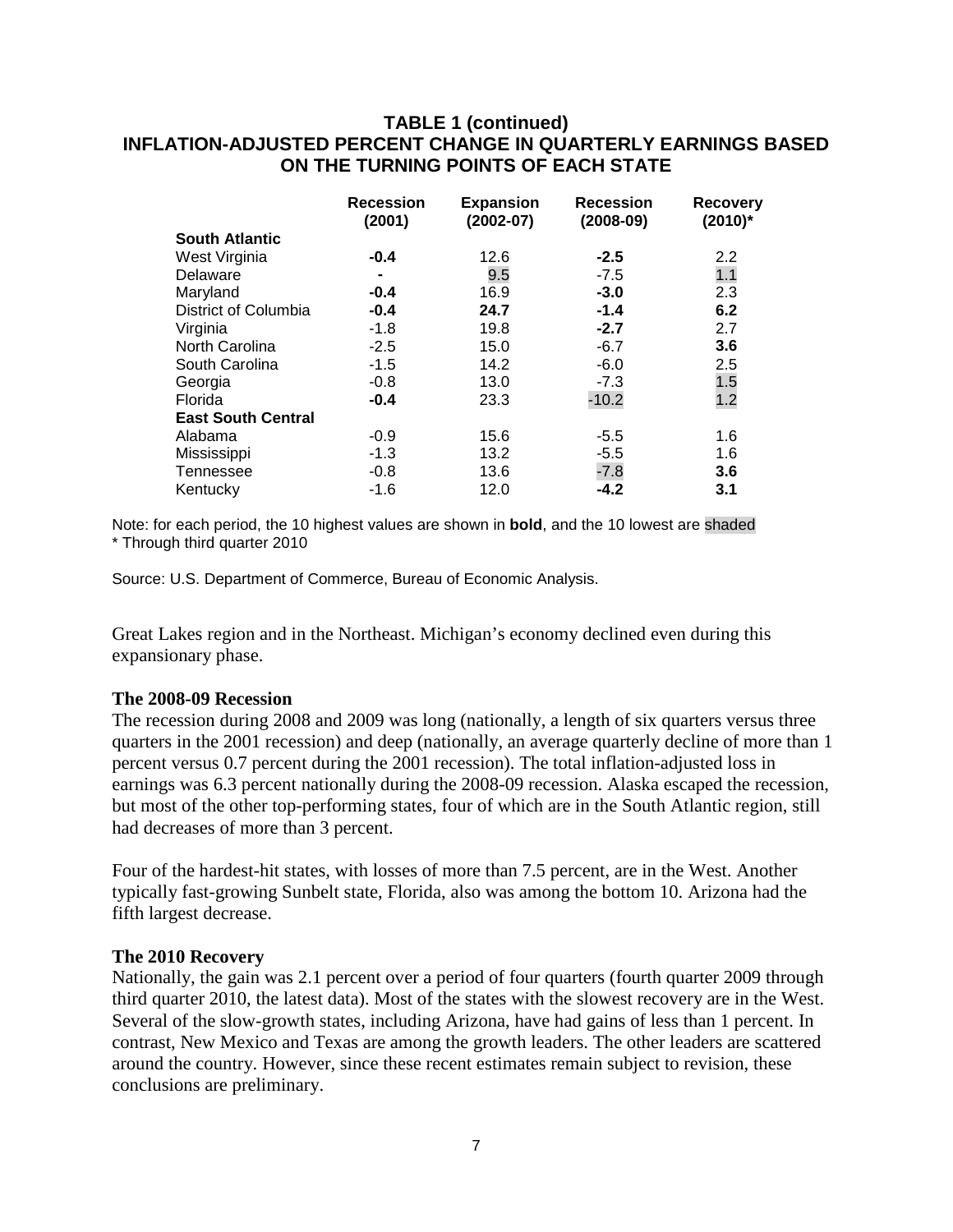## **TABLE 1 (continued) INFLATION-ADJUSTED PERCENT CHANGE IN QUARTERLY EARNINGS BASED ON THE TURNING POINTS OF EACH STATE**

|                           | <b>Recession</b><br>(2001) | <b>Expansion</b><br>$(2002 - 07)$ | <b>Recession</b><br>$(2008-09)$ | <b>Recovery</b><br>$(2010)^*$ |
|---------------------------|----------------------------|-----------------------------------|---------------------------------|-------------------------------|
| <b>South Atlantic</b>     |                            |                                   |                                 |                               |
| West Virginia             | $-0.4$                     | 12.6                              | $-2.5$                          | $2.2\phantom{0}$              |
| Delaware                  | ۰                          | 9.5                               | $-7.5$                          | 1.1                           |
| Maryland                  | $-0.4$                     | 16.9                              | $-3.0$                          | 2.3                           |
| District of Columbia      | $-0.4$                     | 24.7                              | $-1.4$                          | 6.2                           |
| Virginia                  | $-1.8$                     | 19.8                              | $-2.7$                          | 2.7                           |
| North Carolina            | $-2.5$                     | 15.0                              | $-6.7$                          | 3.6                           |
| South Carolina            | $-1.5$                     | 14.2                              | $-6.0$                          | 2.5                           |
| Georgia                   | $-0.8$                     | 13.0                              | $-7.3$                          | 1.5                           |
| Florida                   | $-0.4$                     | 23.3                              | $-10.2$                         | 1.2                           |
| <b>East South Central</b> |                            |                                   |                                 |                               |
| Alabama                   | $-0.9$                     | 15.6                              | $-5.5$                          | 1.6                           |
| Mississippi               | $-1.3$                     | 13.2                              | $-5.5$                          | 1.6                           |
| Tennessee                 | $-0.8$                     | 13.6                              | $-7.8$                          | 3.6                           |
| Kentucky                  | $-1.6$                     | 12.0                              | $-4.2$                          | 3.1                           |

Note: for each period, the 10 highest values are shown in **bold**, and the 10 lowest are shaded \* Through third quarter 2010

Source: U.S. Department of Commerce, Bureau of Economic Analysis.

Great Lakes region and in the Northeast. Michigan's economy declined even during this expansionary phase.

#### **The 2008-09 Recession**

The recession during 2008 and 2009 was long (nationally, a length of six quarters versus three quarters in the 2001 recession) and deep (nationally, an average quarterly decline of more than 1 percent versus 0.7 percent during the 2001 recession). The total inflation-adjusted loss in earnings was 6.3 percent nationally during the 2008-09 recession. Alaska escaped the recession, but most of the other top-performing states, four of which are in the South Atlantic region, still had decreases of more than 3 percent.

Four of the hardest-hit states, with losses of more than 7.5 percent, are in the West. Another typically fast-growing Sunbelt state, Florida, also was among the bottom 10. Arizona had the fifth largest decrease.

#### **The 2010 Recovery**

Nationally, the gain was 2.1 percent over a period of four quarters (fourth quarter 2009 through third quarter 2010, the latest data). Most of the states with the slowest recovery are in the West. Several of the slow-growth states, including Arizona, have had gains of less than 1 percent. In contrast, New Mexico and Texas are among the growth leaders. The other leaders are scattered around the country. However, since these recent estimates remain subject to revision, these conclusions are preliminary.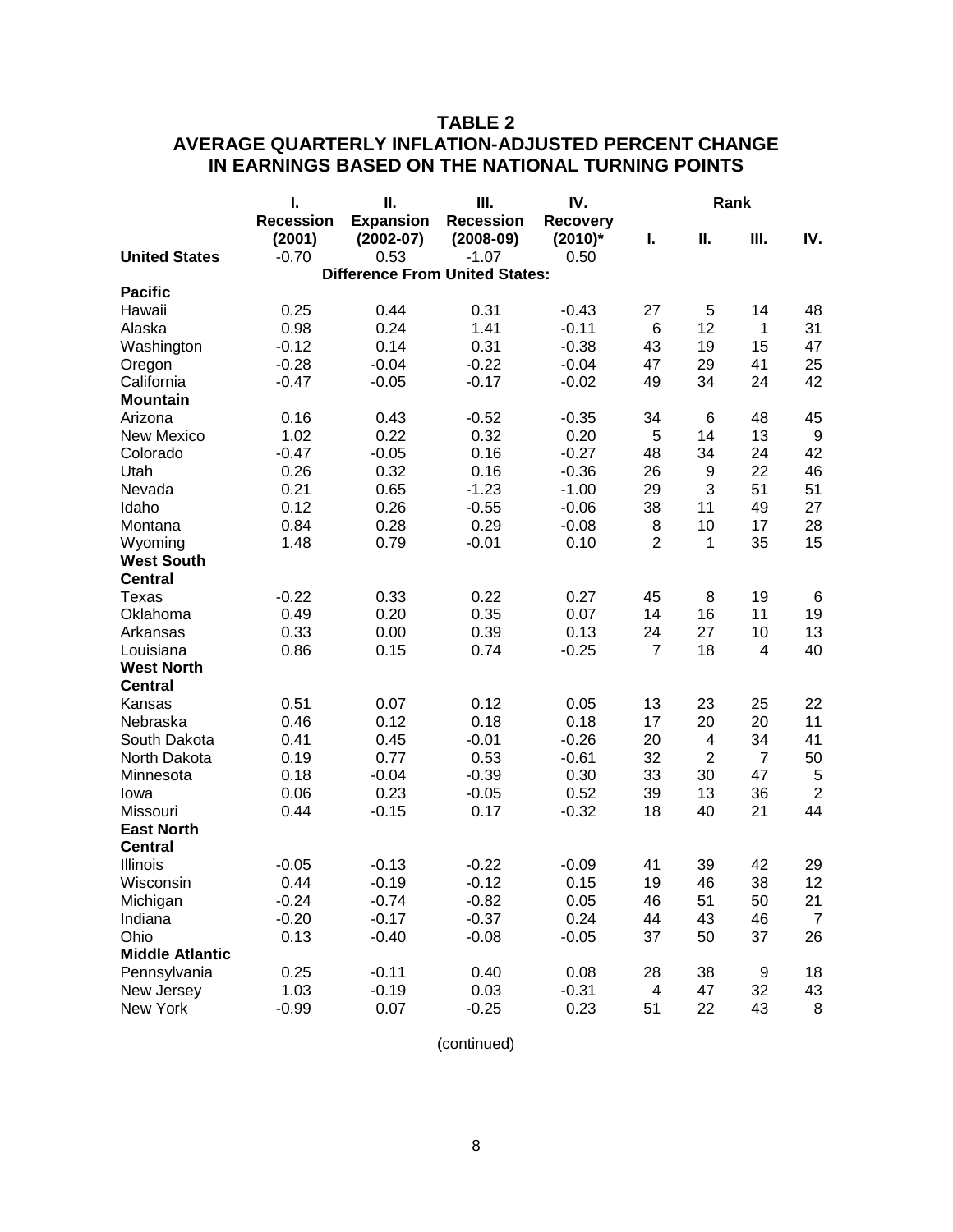## **TABLE 2 AVERAGE QUARTERLY INFLATION-ADJUSTED PERCENT CHANGE IN EARNINGS BASED ON THE NATIONAL TURNING POINTS**

|                        | I.               | П.                                    | Ш.               | IV.             | Rank           |                |                |                  |  |
|------------------------|------------------|---------------------------------------|------------------|-----------------|----------------|----------------|----------------|------------------|--|
|                        | <b>Recession</b> | <b>Expansion</b>                      | <b>Recession</b> | <b>Recovery</b> |                |                |                |                  |  |
|                        | (2001)           | $(2002 - 07)$                         | $(2008-09)$      | $(2010)^*$      | I.             | Ш.             | Ш.             | IV.              |  |
| <b>United States</b>   | $-0.70$          | 0.53                                  | $-1.07$          | 0.50            |                |                |                |                  |  |
|                        |                  | <b>Difference From United States:</b> |                  |                 |                |                |                |                  |  |
| <b>Pacific</b>         |                  |                                       |                  |                 |                |                |                |                  |  |
| Hawaii                 | 0.25             | 0.44                                  | 0.31             | $-0.43$         | 27             | 5              | 14             | 48               |  |
| Alaska                 | 0.98             | 0.24                                  | 1.41             | $-0.11$         | 6              | 12             | 1              | 31               |  |
| Washington             | $-0.12$          | 0.14                                  | 0.31             | $-0.38$         | 43             | 19             | 15             | 47               |  |
| Oregon                 | $-0.28$          | $-0.04$                               | $-0.22$          | $-0.04$         | 47             | 29             | 41             | 25               |  |
| California             | $-0.47$          | $-0.05$                               | $-0.17$          | $-0.02$         | 49             | 34             | 24             | 42               |  |
| <b>Mountain</b>        |                  |                                       |                  |                 |                |                |                |                  |  |
| Arizona                | 0.16             | 0.43                                  | $-0.52$          | $-0.35$         | 34             | 6              | 48             | 45               |  |
| <b>New Mexico</b>      | 1.02             | 0.22                                  | 0.32             | 0.20            | 5              | 14             | 13             | $\boldsymbol{9}$ |  |
| Colorado               | $-0.47$          | $-0.05$                               | 0.16             | $-0.27$         | 48             | 34             | 24             | 42               |  |
| Utah                   | 0.26             | 0.32                                  | 0.16             | $-0.36$         | 26             | 9              | 22             | 46               |  |
| Nevada                 | 0.21             | 0.65                                  | $-1.23$          | $-1.00$         | 29             | 3              | 51             | 51               |  |
| Idaho                  | 0.12             | 0.26                                  | $-0.55$          | $-0.06$         | 38             | 11             | 49             | 27               |  |
| Montana                | 0.84             | 0.28                                  | 0.29             | $-0.08$         | 8              | 10             | 17             | 28               |  |
| Wyoming                | 1.48             | 0.79                                  | $-0.01$          | 0.10            | $\overline{2}$ | 1              | 35             | 15               |  |
| <b>West South</b>      |                  |                                       |                  |                 |                |                |                |                  |  |
| <b>Central</b>         |                  |                                       |                  |                 |                |                |                |                  |  |
| Texas                  | $-0.22$          | 0.33                                  | 0.22             | 0.27            | 45             | 8              | 19             | 6                |  |
| Oklahoma               | 0.49             | 0.20                                  | 0.35             | 0.07            | 14             | 16             | 11             | 19               |  |
| Arkansas               | 0.33             | 0.00                                  | 0.39             | 0.13            | 24             | 27             | 10             | 13               |  |
| Louisiana              | 0.86             | 0.15                                  | 0.74             | $-0.25$         | $\overline{7}$ | 18             | 4              | 40               |  |
| <b>West North</b>      |                  |                                       |                  |                 |                |                |                |                  |  |
| <b>Central</b>         |                  |                                       |                  |                 |                |                |                |                  |  |
| Kansas                 | 0.51             | 0.07                                  | 0.12             | 0.05            | 13             | 23             | 25             | 22               |  |
| Nebraska               | 0.46             | 0.12                                  | 0.18             | 0.18            | 17             | 20             | 20             | 11               |  |
| South Dakota           | 0.41             | 0.45                                  | $-0.01$          | $-0.26$         | 20             | 4              | 34             | 41               |  |
| North Dakota           | 0.19             | 0.77                                  | 0.53             | $-0.61$         | 32             | $\overline{2}$ | $\overline{7}$ | 50               |  |
| Minnesota              | 0.18             | $-0.04$                               | $-0.39$          | 0.30            | 33             | 30             | 47             | 5                |  |
| Iowa                   | 0.06             | 0.23                                  | $-0.05$          | 0.52            | 39             | 13             | 36             | $\overline{2}$   |  |
| Missouri               | 0.44             | $-0.15$                               | 0.17             | $-0.32$         | 18             | 40             | 21             | 44               |  |
| <b>East North</b>      |                  |                                       |                  |                 |                |                |                |                  |  |
| <b>Central</b>         |                  |                                       |                  |                 |                |                |                |                  |  |
| Illinois               | $-0.05$          | $-0.13$                               | $-0.22$          | $-0.09$         | 41             | 39             | 42             | 29               |  |
| Wisconsin              | 0.44             | $-0.19$                               | $-0.12$          | 0.15            | 19             | 46             | 38             | 12               |  |
| Michigan               | $-0.24$          | $-0.74$                               | $-0.82$          | 0.05            | 46             | 51             | 50             | 21               |  |
| Indiana                | $-0.20$          | $-0.17$                               | $-0.37$          | 0.24            | 44             | 43             | 46             | $\overline{7}$   |  |
| Ohio                   | 0.13             | $-0.40$                               | $-0.08$          | $-0.05$         | 37             | 50             | 37             | 26               |  |
| <b>Middle Atlantic</b> |                  |                                       |                  |                 |                |                |                |                  |  |
| Pennsylvania           | 0.25             | $-0.11$                               | 0.40             | 0.08            | 28             | 38             | 9              | 18               |  |
| New Jersey             | 1.03             | $-0.19$                               | 0.03             | $-0.31$         | 4              | 47             | 32             | 43               |  |
| New York               | $-0.99$          | 0.07                                  | $-0.25$          | 0.23            | 51             | 22             | 43             | 8                |  |

(continued)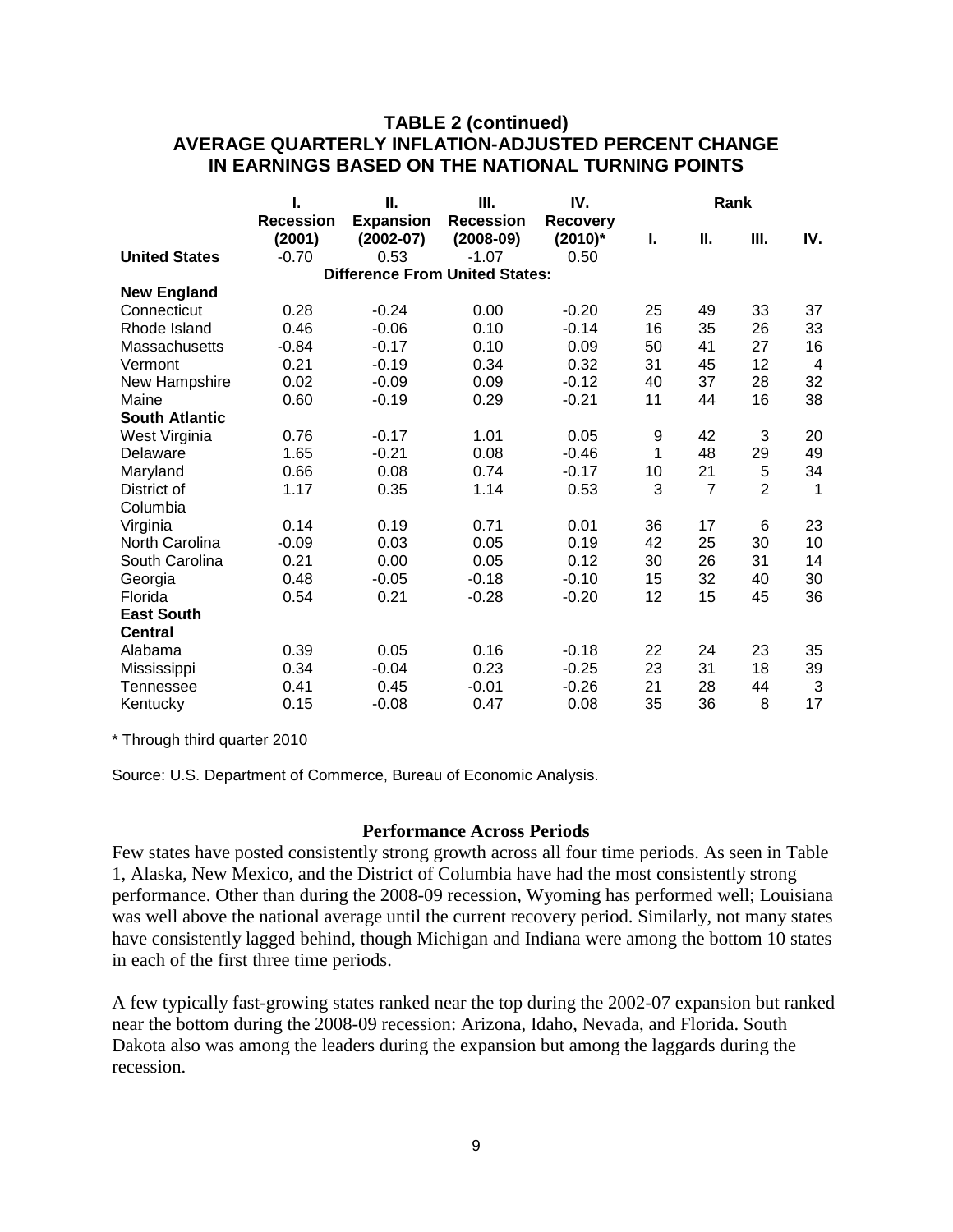## **TABLE 2 (continued) AVERAGE QUARTERLY INFLATION-ADJUSTED PERCENT CHANGE IN EARNINGS BASED ON THE NATIONAL TURNING POINTS**

|                       | I.               | Ш.               | Ш.                                    | IV.             | Rank |                |                |                |
|-----------------------|------------------|------------------|---------------------------------------|-----------------|------|----------------|----------------|----------------|
|                       | <b>Recession</b> | <b>Expansion</b> | <b>Recession</b>                      | <b>Recovery</b> |      |                |                |                |
|                       | (2001)           | $(2002-07)$      | $(2008-09)$                           | $(2010)^*$      | I.   | П.             | Ш.             | IV.            |
| <b>United States</b>  | $-0.70$          | 0.53             | $-1.07$                               | 0.50            |      |                |                |                |
|                       |                  |                  | <b>Difference From United States:</b> |                 |      |                |                |                |
| <b>New England</b>    |                  |                  |                                       |                 |      |                |                |                |
| Connecticut           | 0.28             | $-0.24$          | 0.00                                  | $-0.20$         | 25   | 49             | 33             | 37             |
| Rhode Island          | 0.46             | $-0.06$          | 0.10                                  | $-0.14$         | 16   | 35             | 26             | 33             |
| Massachusetts         | $-0.84$          | $-0.17$          | 0.10                                  | 0.09            | 50   | 41             | 27             | 16             |
| Vermont               | 0.21             | $-0.19$          | 0.34                                  | 0.32            | 31   | 45             | 12             | $\overline{4}$ |
| New Hampshire         | 0.02             | $-0.09$          | 0.09                                  | $-0.12$         | 40   | 37             | 28             | 32             |
| Maine                 | 0.60             | $-0.19$          | 0.29                                  | $-0.21$         | 11   | 44             | 16             | 38             |
| <b>South Atlantic</b> |                  |                  |                                       |                 |      |                |                |                |
| West Virginia         | 0.76             | $-0.17$          | 1.01                                  | 0.05            | 9    | 42             | 3              | 20             |
| Delaware              | 1.65             | $-0.21$          | 0.08                                  | $-0.46$         | 1    | 48             | 29             | 49             |
| Maryland              | 0.66             | 0.08             | 0.74                                  | $-0.17$         | 10   | 21             | 5              | 34             |
| District of           | 1.17             | 0.35             | 1.14                                  | 0.53            | 3    | $\overline{7}$ | $\overline{2}$ | $\mathbf 1$    |
| Columbia              |                  |                  |                                       |                 |      |                |                |                |
| Virginia              | 0.14             | 0.19             | 0.71                                  | 0.01            | 36   | 17             | 6              | 23             |
| North Carolina        | $-0.09$          | 0.03             | 0.05                                  | 0.19            | 42   | 25             | 30             | 10             |
| South Carolina        | 0.21             | 0.00             | 0.05                                  | 0.12            | 30   | 26             | 31             | 14             |
| Georgia               | 0.48             | $-0.05$          | $-0.18$                               | $-0.10$         | 15   | 32             | 40             | 30             |
| Florida               | 0.54             | 0.21             | $-0.28$                               | $-0.20$         | 12   | 15             | 45             | 36             |
| <b>East South</b>     |                  |                  |                                       |                 |      |                |                |                |
| <b>Central</b>        |                  |                  |                                       |                 |      |                |                |                |
| Alabama               | 0.39             | 0.05             | 0.16                                  | $-0.18$         | 22   | 24             | 23             | 35             |
| Mississippi           | 0.34             | $-0.04$          | 0.23                                  | $-0.25$         | 23   | 31             | 18             | 39             |
| Tennessee             | 0.41             | 0.45             | $-0.01$                               | $-0.26$         | 21   | 28             | 44             | 3              |
| Kentucky              | 0.15             | $-0.08$          | 0.47                                  | 0.08            | 35   | 36             | 8              | 17             |
|                       |                  |                  |                                       |                 |      |                |                |                |

\* Through third quarter 2010

Source: U.S. Department of Commerce, Bureau of Economic Analysis.

#### **Performance Across Periods**

Few states have posted consistently strong growth across all four time periods. As seen in Table 1, Alaska, New Mexico, and the District of Columbia have had the most consistently strong performance. Other than during the 2008-09 recession, Wyoming has performed well; Louisiana was well above the national average until the current recovery period. Similarly, not many states have consistently lagged behind, though Michigan and Indiana were among the bottom 10 states in each of the first three time periods.

A few typically fast-growing states ranked near the top during the 2002-07 expansion but ranked near the bottom during the 2008-09 recession: Arizona, Idaho, Nevada, and Florida. South Dakota also was among the leaders during the expansion but among the laggards during the recession.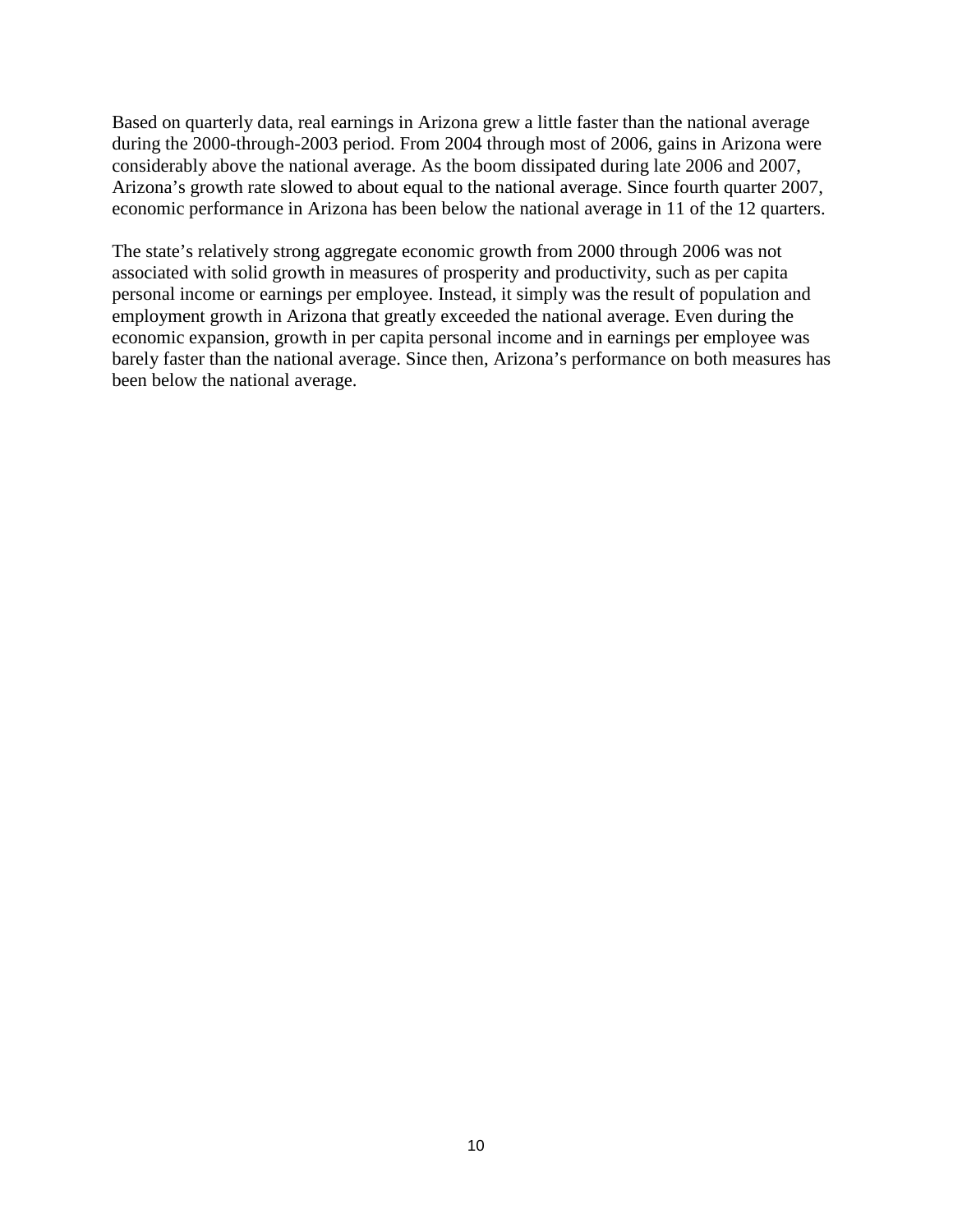Based on quarterly data, real earnings in Arizona grew a little faster than the national average during the 2000-through-2003 period. From 2004 through most of 2006, gains in Arizona were considerably above the national average. As the boom dissipated during late 2006 and 2007, Arizona's growth rate slowed to about equal to the national average. Since fourth quarter 2007, economic performance in Arizona has been below the national average in 11 of the 12 quarters.

The state's relatively strong aggregate economic growth from 2000 through 2006 was not associated with solid growth in measures of prosperity and productivity, such as per capita personal income or earnings per employee. Instead, it simply was the result of population and employment growth in Arizona that greatly exceeded the national average. Even during the economic expansion, growth in per capita personal income and in earnings per employee was barely faster than the national average. Since then, Arizona's performance on both measures has been below the national average.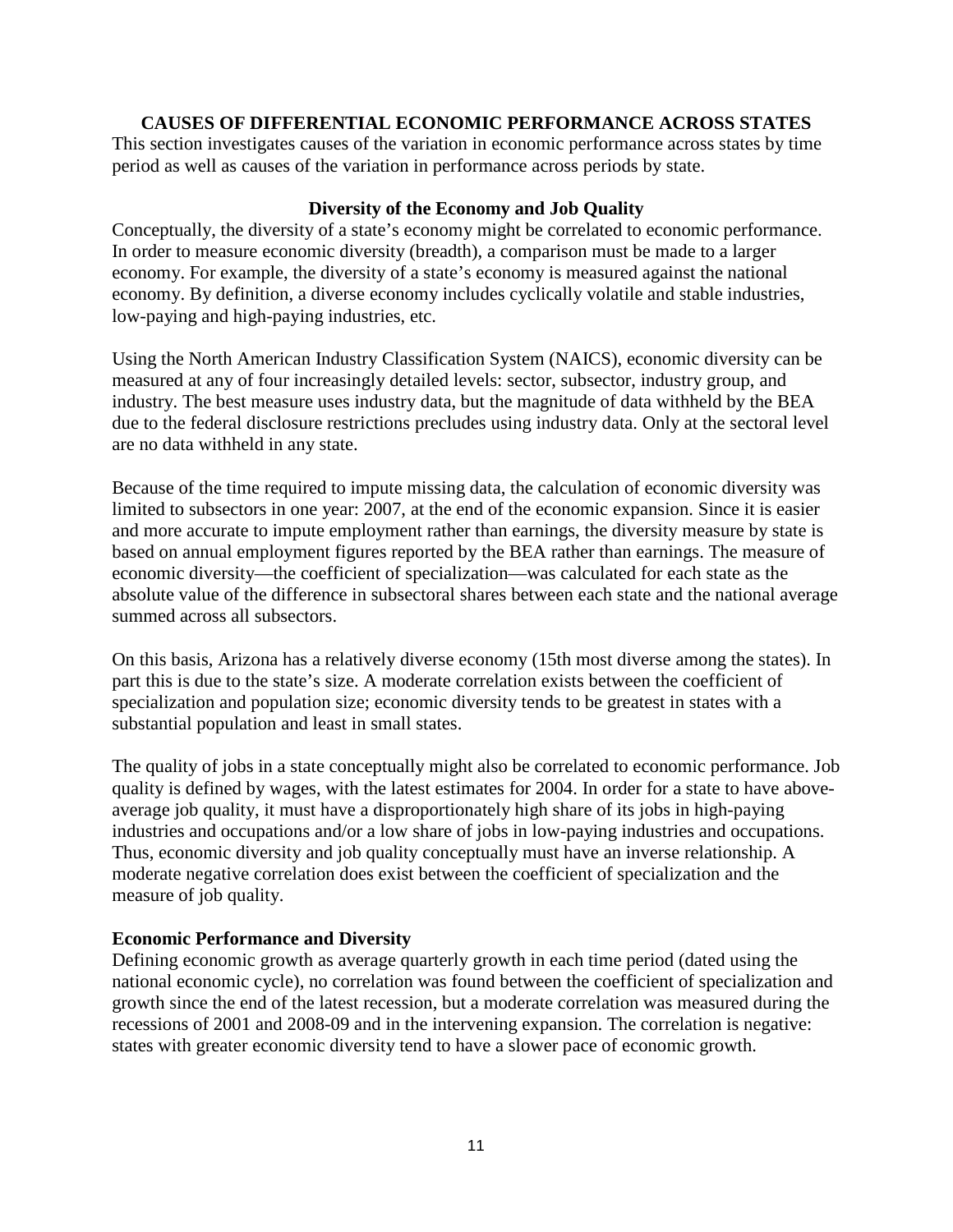## **CAUSES OF DIFFERENTIAL ECONOMIC PERFORMANCE ACROSS STATES**

This section investigates causes of the variation in economic performance across states by time period as well as causes of the variation in performance across periods by state.

## **Diversity of the Economy and Job Quality**

Conceptually, the diversity of a state's economy might be correlated to economic performance. In order to measure economic diversity (breadth), a comparison must be made to a larger economy. For example, the diversity of a state's economy is measured against the national economy. By definition, a diverse economy includes cyclically volatile and stable industries, low-paying and high-paying industries, etc.

Using the North American Industry Classification System (NAICS), economic diversity can be measured at any of four increasingly detailed levels: sector, subsector, industry group, and industry. The best measure uses industry data, but the magnitude of data withheld by the BEA due to the federal disclosure restrictions precludes using industry data. Only at the sectoral level are no data withheld in any state.

Because of the time required to impute missing data, the calculation of economic diversity was limited to subsectors in one year: 2007, at the end of the economic expansion. Since it is easier and more accurate to impute employment rather than earnings, the diversity measure by state is based on annual employment figures reported by the BEA rather than earnings. The measure of economic diversity—the coefficient of specialization—was calculated for each state as the absolute value of the difference in subsectoral shares between each state and the national average summed across all subsectors.

On this basis, Arizona has a relatively diverse economy (15th most diverse among the states). In part this is due to the state's size. A moderate correlation exists between the coefficient of specialization and population size; economic diversity tends to be greatest in states with a substantial population and least in small states.

The quality of jobs in a state conceptually might also be correlated to economic performance. Job quality is defined by wages, with the latest estimates for 2004. In order for a state to have aboveaverage job quality, it must have a disproportionately high share of its jobs in high-paying industries and occupations and/or a low share of jobs in low-paying industries and occupations. Thus, economic diversity and job quality conceptually must have an inverse relationship. A moderate negative correlation does exist between the coefficient of specialization and the measure of job quality.

## **Economic Performance and Diversity**

Defining economic growth as average quarterly growth in each time period (dated using the national economic cycle), no correlation was found between the coefficient of specialization and growth since the end of the latest recession, but a moderate correlation was measured during the recessions of 2001 and 2008-09 and in the intervening expansion. The correlation is negative: states with greater economic diversity tend to have a slower pace of economic growth.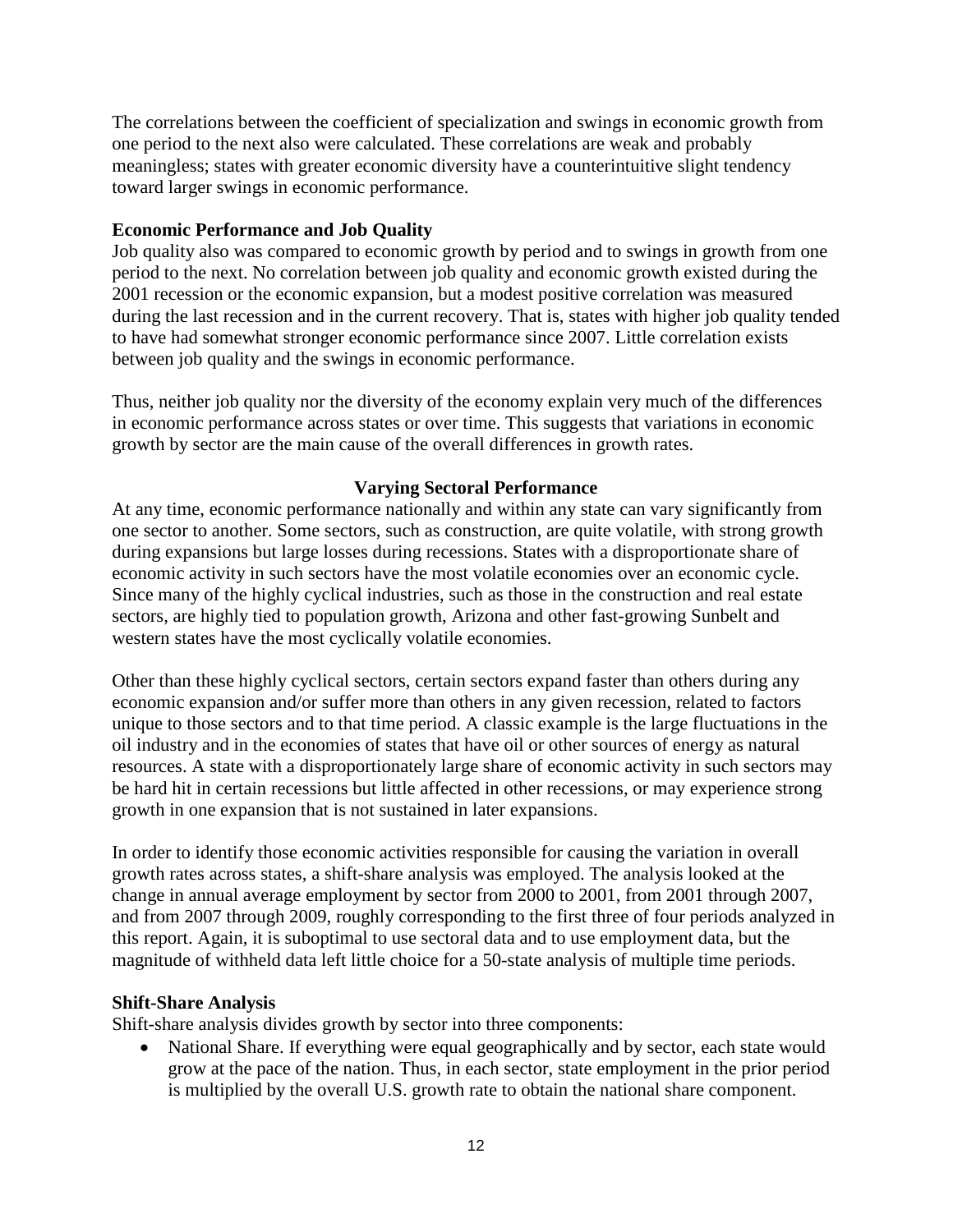The correlations between the coefficient of specialization and swings in economic growth from one period to the next also were calculated. These correlations are weak and probably meaningless; states with greater economic diversity have a counterintuitive slight tendency toward larger swings in economic performance.

## **Economic Performance and Job Quality**

Job quality also was compared to economic growth by period and to swings in growth from one period to the next. No correlation between job quality and economic growth existed during the 2001 recession or the economic expansion, but a modest positive correlation was measured during the last recession and in the current recovery. That is, states with higher job quality tended to have had somewhat stronger economic performance since 2007. Little correlation exists between job quality and the swings in economic performance.

Thus, neither job quality nor the diversity of the economy explain very much of the differences in economic performance across states or over time. This suggests that variations in economic growth by sector are the main cause of the overall differences in growth rates.

## **Varying Sectoral Performance**

At any time, economic performance nationally and within any state can vary significantly from one sector to another. Some sectors, such as construction, are quite volatile, with strong growth during expansions but large losses during recessions. States with a disproportionate share of economic activity in such sectors have the most volatile economies over an economic cycle. Since many of the highly cyclical industries, such as those in the construction and real estate sectors, are highly tied to population growth, Arizona and other fast-growing Sunbelt and western states have the most cyclically volatile economies.

Other than these highly cyclical sectors, certain sectors expand faster than others during any economic expansion and/or suffer more than others in any given recession, related to factors unique to those sectors and to that time period. A classic example is the large fluctuations in the oil industry and in the economies of states that have oil or other sources of energy as natural resources. A state with a disproportionately large share of economic activity in such sectors may be hard hit in certain recessions but little affected in other recessions, or may experience strong growth in one expansion that is not sustained in later expansions.

In order to identify those economic activities responsible for causing the variation in overall growth rates across states, a shift-share analysis was employed. The analysis looked at the change in annual average employment by sector from 2000 to 2001, from 2001 through 2007, and from 2007 through 2009, roughly corresponding to the first three of four periods analyzed in this report. Again, it is suboptimal to use sectoral data and to use employment data, but the magnitude of withheld data left little choice for a 50-state analysis of multiple time periods.

## **Shift-Share Analysis**

Shift-share analysis divides growth by sector into three components:

• National Share. If everything were equal geographically and by sector, each state would grow at the pace of the nation. Thus, in each sector, state employment in the prior period is multiplied by the overall U.S. growth rate to obtain the national share component.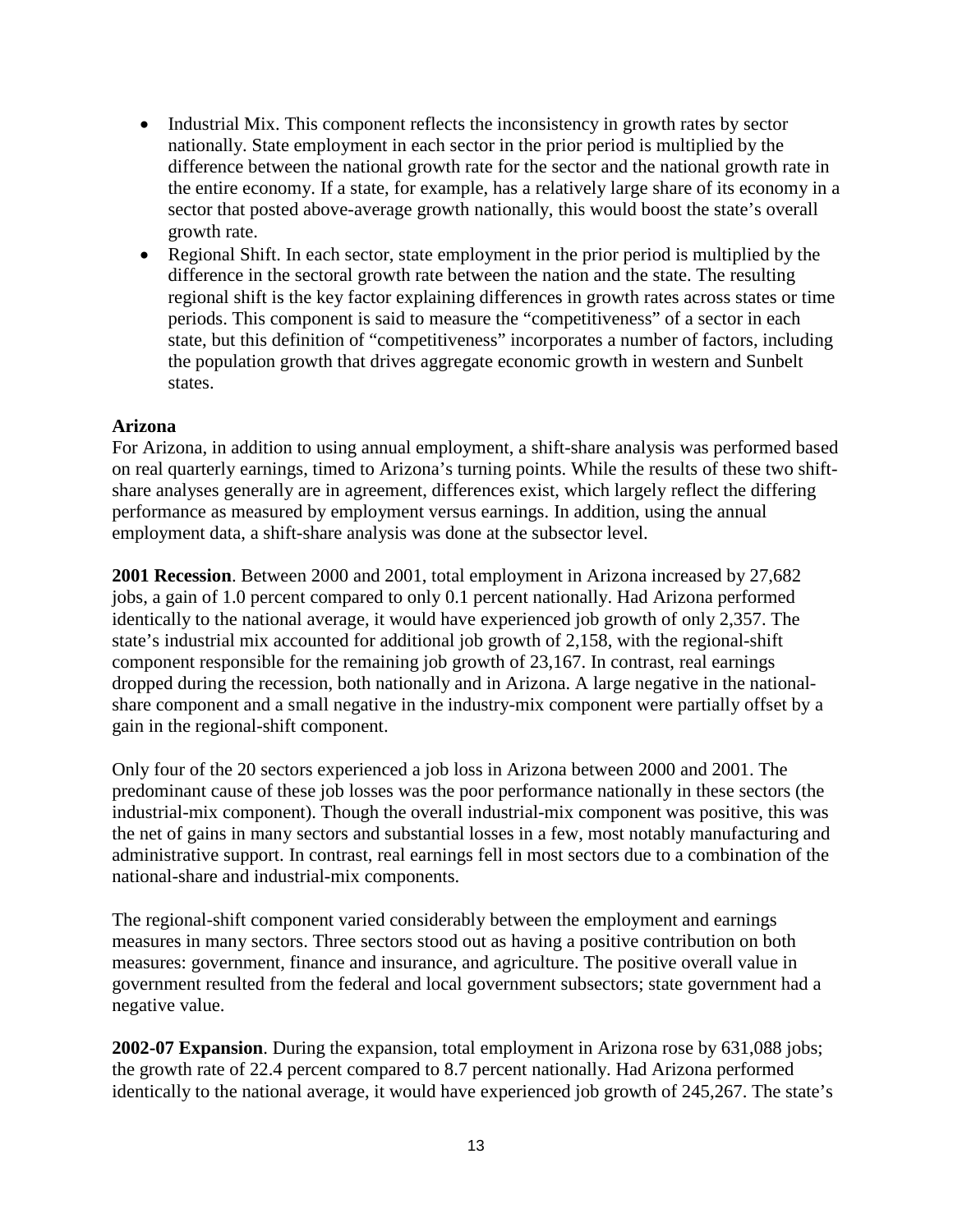- Industrial Mix. This component reflects the inconsistency in growth rates by sector nationally. State employment in each sector in the prior period is multiplied by the difference between the national growth rate for the sector and the national growth rate in the entire economy. If a state, for example, has a relatively large share of its economy in a sector that posted above-average growth nationally, this would boost the state's overall growth rate.
- Regional Shift. In each sector, state employment in the prior period is multiplied by the difference in the sectoral growth rate between the nation and the state. The resulting regional shift is the key factor explaining differences in growth rates across states or time periods. This component is said to measure the "competitiveness" of a sector in each state, but this definition of "competitiveness" incorporates a number of factors, including the population growth that drives aggregate economic growth in western and Sunbelt states.

## **Arizona**

For Arizona, in addition to using annual employment, a shift-share analysis was performed based on real quarterly earnings, timed to Arizona's turning points. While the results of these two shiftshare analyses generally are in agreement, differences exist, which largely reflect the differing performance as measured by employment versus earnings. In addition, using the annual employment data, a shift-share analysis was done at the subsector level.

**2001 Recession**. Between 2000 and 2001, total employment in Arizona increased by 27,682 jobs, a gain of 1.0 percent compared to only 0.1 percent nationally. Had Arizona performed identically to the national average, it would have experienced job growth of only 2,357. The state's industrial mix accounted for additional job growth of 2,158, with the regional-shift component responsible for the remaining job growth of 23,167. In contrast, real earnings dropped during the recession, both nationally and in Arizona. A large negative in the nationalshare component and a small negative in the industry-mix component were partially offset by a gain in the regional-shift component.

Only four of the 20 sectors experienced a job loss in Arizona between 2000 and 2001. The predominant cause of these job losses was the poor performance nationally in these sectors (the industrial-mix component). Though the overall industrial-mix component was positive, this was the net of gains in many sectors and substantial losses in a few, most notably manufacturing and administrative support. In contrast, real earnings fell in most sectors due to a combination of the national-share and industrial-mix components.

The regional-shift component varied considerably between the employment and earnings measures in many sectors. Three sectors stood out as having a positive contribution on both measures: government, finance and insurance, and agriculture. The positive overall value in government resulted from the federal and local government subsectors; state government had a negative value.

**2002-07 Expansion**. During the expansion, total employment in Arizona rose by 631,088 jobs; the growth rate of 22.4 percent compared to 8.7 percent nationally. Had Arizona performed identically to the national average, it would have experienced job growth of 245,267. The state's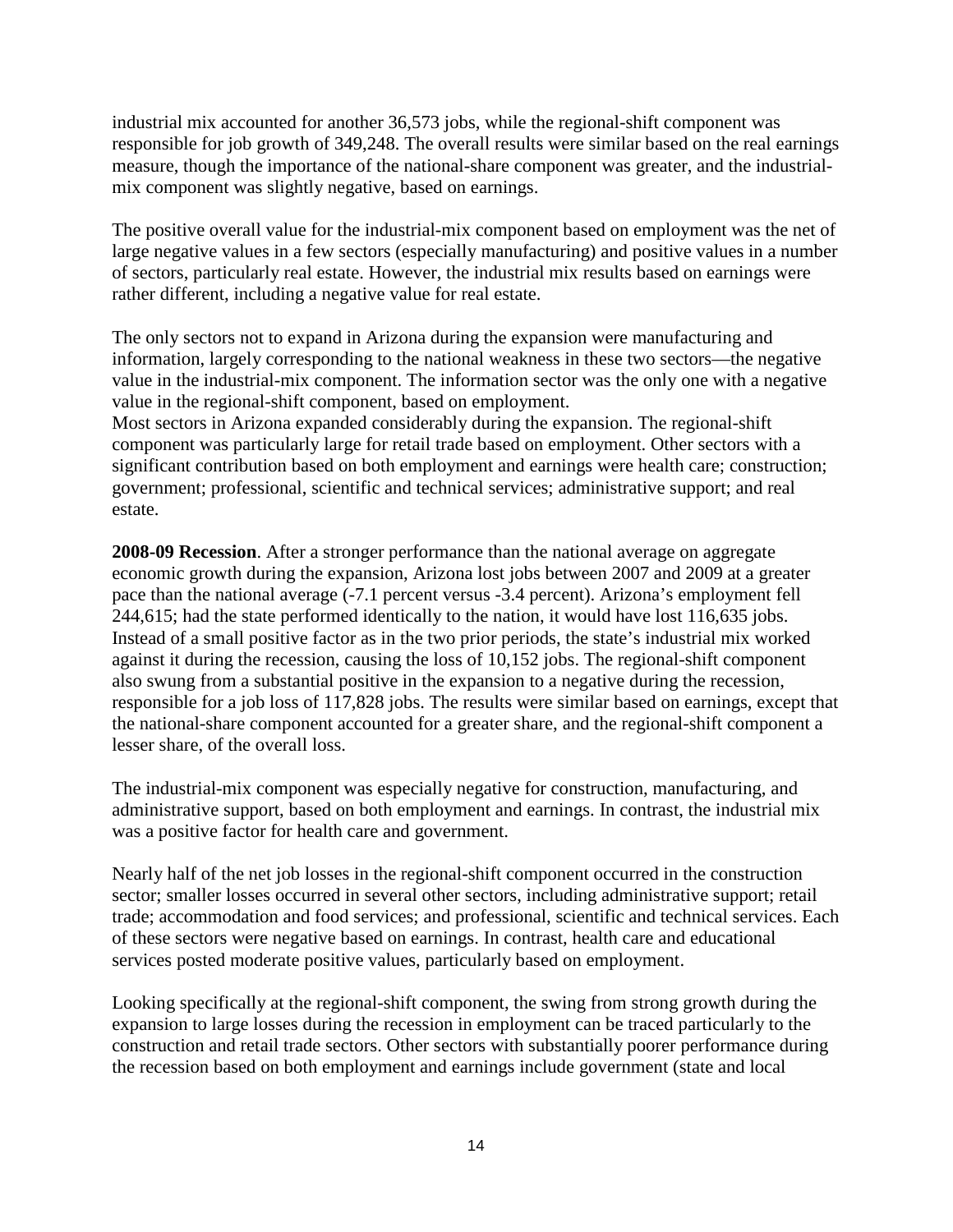industrial mix accounted for another 36,573 jobs, while the regional-shift component was responsible for job growth of 349,248. The overall results were similar based on the real earnings measure, though the importance of the national-share component was greater, and the industrialmix component was slightly negative, based on earnings.

The positive overall value for the industrial-mix component based on employment was the net of large negative values in a few sectors (especially manufacturing) and positive values in a number of sectors, particularly real estate. However, the industrial mix results based on earnings were rather different, including a negative value for real estate.

The only sectors not to expand in Arizona during the expansion were manufacturing and information, largely corresponding to the national weakness in these two sectors—the negative value in the industrial-mix component. The information sector was the only one with a negative value in the regional-shift component, based on employment.

Most sectors in Arizona expanded considerably during the expansion. The regional-shift component was particularly large for retail trade based on employment. Other sectors with a significant contribution based on both employment and earnings were health care; construction; government; professional, scientific and technical services; administrative support; and real estate.

**2008-09 Recession**. After a stronger performance than the national average on aggregate economic growth during the expansion, Arizona lost jobs between 2007 and 2009 at a greater pace than the national average (-7.1 percent versus -3.4 percent). Arizona's employment fell 244,615; had the state performed identically to the nation, it would have lost 116,635 jobs. Instead of a small positive factor as in the two prior periods, the state's industrial mix worked against it during the recession, causing the loss of 10,152 jobs. The regional-shift component also swung from a substantial positive in the expansion to a negative during the recession, responsible for a job loss of 117,828 jobs. The results were similar based on earnings, except that the national-share component accounted for a greater share, and the regional-shift component a lesser share, of the overall loss.

The industrial-mix component was especially negative for construction, manufacturing, and administrative support, based on both employment and earnings. In contrast, the industrial mix was a positive factor for health care and government.

Nearly half of the net job losses in the regional-shift component occurred in the construction sector; smaller losses occurred in several other sectors, including administrative support; retail trade; accommodation and food services; and professional, scientific and technical services. Each of these sectors were negative based on earnings. In contrast, health care and educational services posted moderate positive values, particularly based on employment.

Looking specifically at the regional-shift component, the swing from strong growth during the expansion to large losses during the recession in employment can be traced particularly to the construction and retail trade sectors. Other sectors with substantially poorer performance during the recession based on both employment and earnings include government (state and local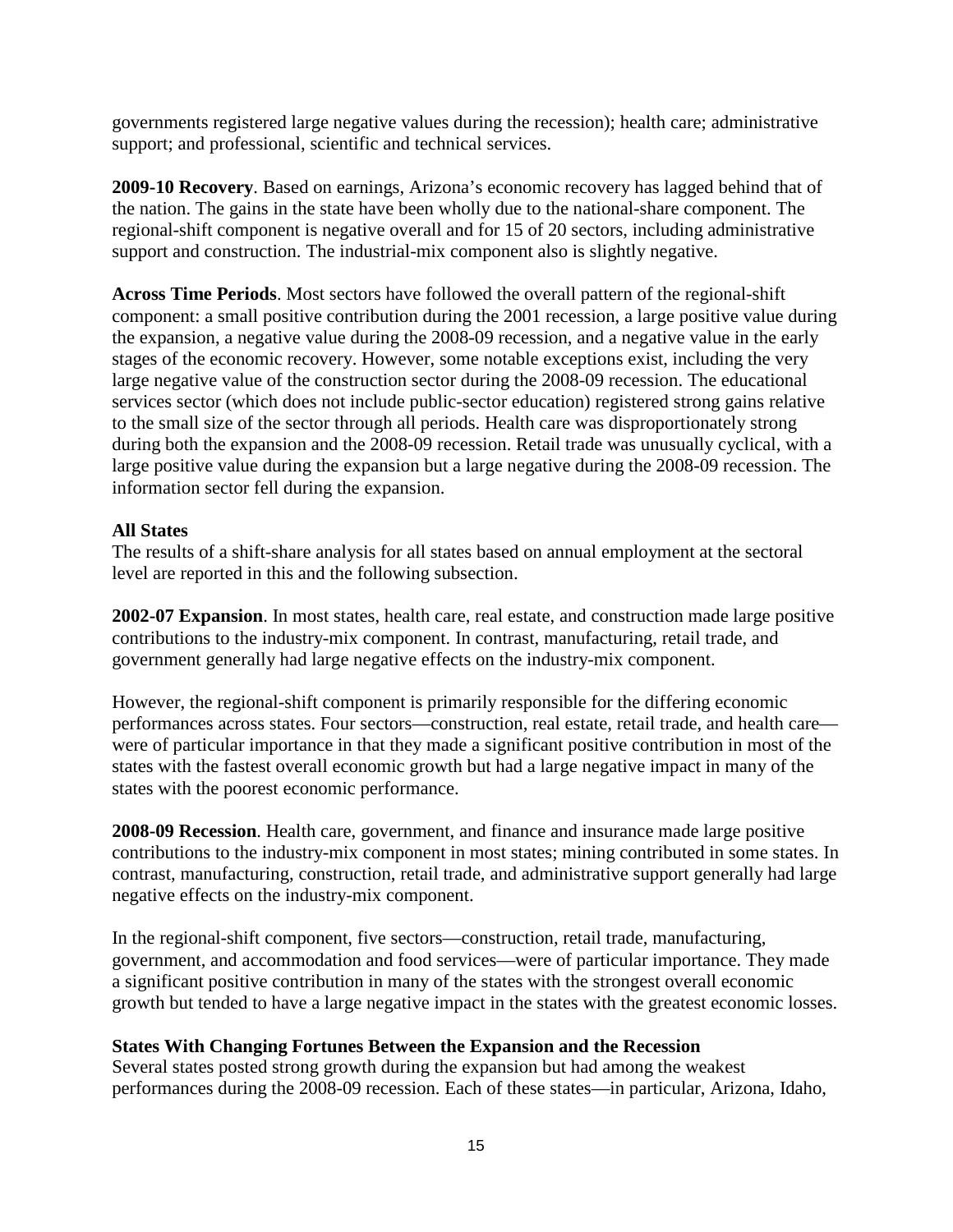governments registered large negative values during the recession); health care; administrative support; and professional, scientific and technical services.

**2009-10 Recovery**. Based on earnings, Arizona's economic recovery has lagged behind that of the nation. The gains in the state have been wholly due to the national-share component. The regional-shift component is negative overall and for 15 of 20 sectors, including administrative support and construction. The industrial-mix component also is slightly negative.

**Across Time Periods**. Most sectors have followed the overall pattern of the regional-shift component: a small positive contribution during the 2001 recession, a large positive value during the expansion, a negative value during the 2008-09 recession, and a negative value in the early stages of the economic recovery. However, some notable exceptions exist, including the very large negative value of the construction sector during the 2008-09 recession. The educational services sector (which does not include public-sector education) registered strong gains relative to the small size of the sector through all periods. Health care was disproportionately strong during both the expansion and the 2008-09 recession. Retail trade was unusually cyclical, with a large positive value during the expansion but a large negative during the 2008-09 recession. The information sector fell during the expansion.

## **All States**

The results of a shift-share analysis for all states based on annual employment at the sectoral level are reported in this and the following subsection.

**2002-07 Expansion**. In most states, health care, real estate, and construction made large positive contributions to the industry-mix component. In contrast, manufacturing, retail trade, and government generally had large negative effects on the industry-mix component.

However, the regional-shift component is primarily responsible for the differing economic performances across states. Four sectors—construction, real estate, retail trade, and health care were of particular importance in that they made a significant positive contribution in most of the states with the fastest overall economic growth but had a large negative impact in many of the states with the poorest economic performance.

**2008-09 Recession**. Health care, government, and finance and insurance made large positive contributions to the industry-mix component in most states; mining contributed in some states. In contrast, manufacturing, construction, retail trade, and administrative support generally had large negative effects on the industry-mix component.

In the regional-shift component, five sectors—construction, retail trade, manufacturing, government, and accommodation and food services—were of particular importance. They made a significant positive contribution in many of the states with the strongest overall economic growth but tended to have a large negative impact in the states with the greatest economic losses.

## **States With Changing Fortunes Between the Expansion and the Recession**

Several states posted strong growth during the expansion but had among the weakest performances during the 2008-09 recession. Each of these states—in particular, Arizona, Idaho,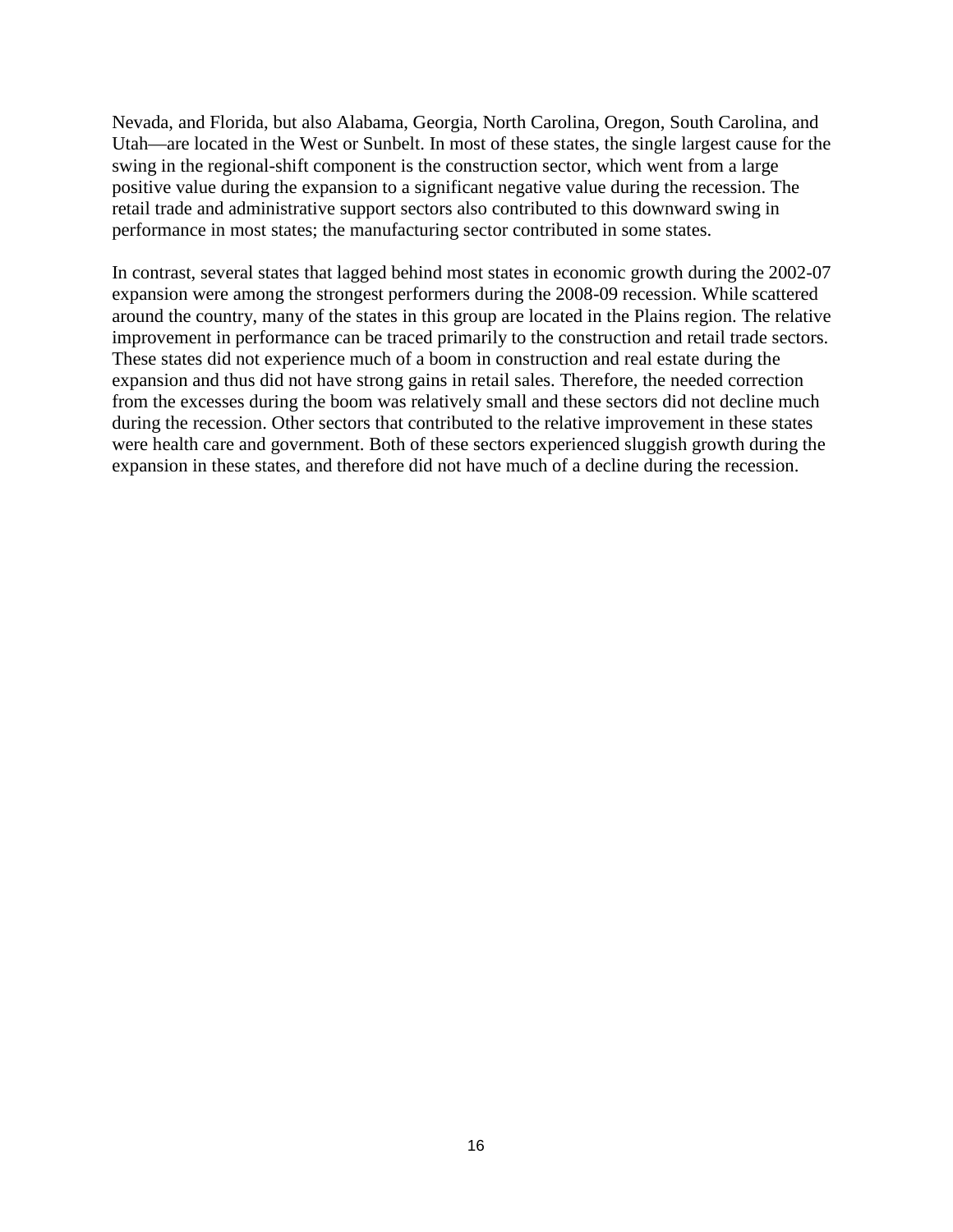Nevada, and Florida, but also Alabama, Georgia, North Carolina, Oregon, South Carolina, and Utah—are located in the West or Sunbelt. In most of these states, the single largest cause for the swing in the regional-shift component is the construction sector, which went from a large positive value during the expansion to a significant negative value during the recession. The retail trade and administrative support sectors also contributed to this downward swing in performance in most states; the manufacturing sector contributed in some states.

In contrast, several states that lagged behind most states in economic growth during the 2002-07 expansion were among the strongest performers during the 2008-09 recession. While scattered around the country, many of the states in this group are located in the Plains region. The relative improvement in performance can be traced primarily to the construction and retail trade sectors. These states did not experience much of a boom in construction and real estate during the expansion and thus did not have strong gains in retail sales. Therefore, the needed correction from the excesses during the boom was relatively small and these sectors did not decline much during the recession. Other sectors that contributed to the relative improvement in these states were health care and government. Both of these sectors experienced sluggish growth during the expansion in these states, and therefore did not have much of a decline during the recession.